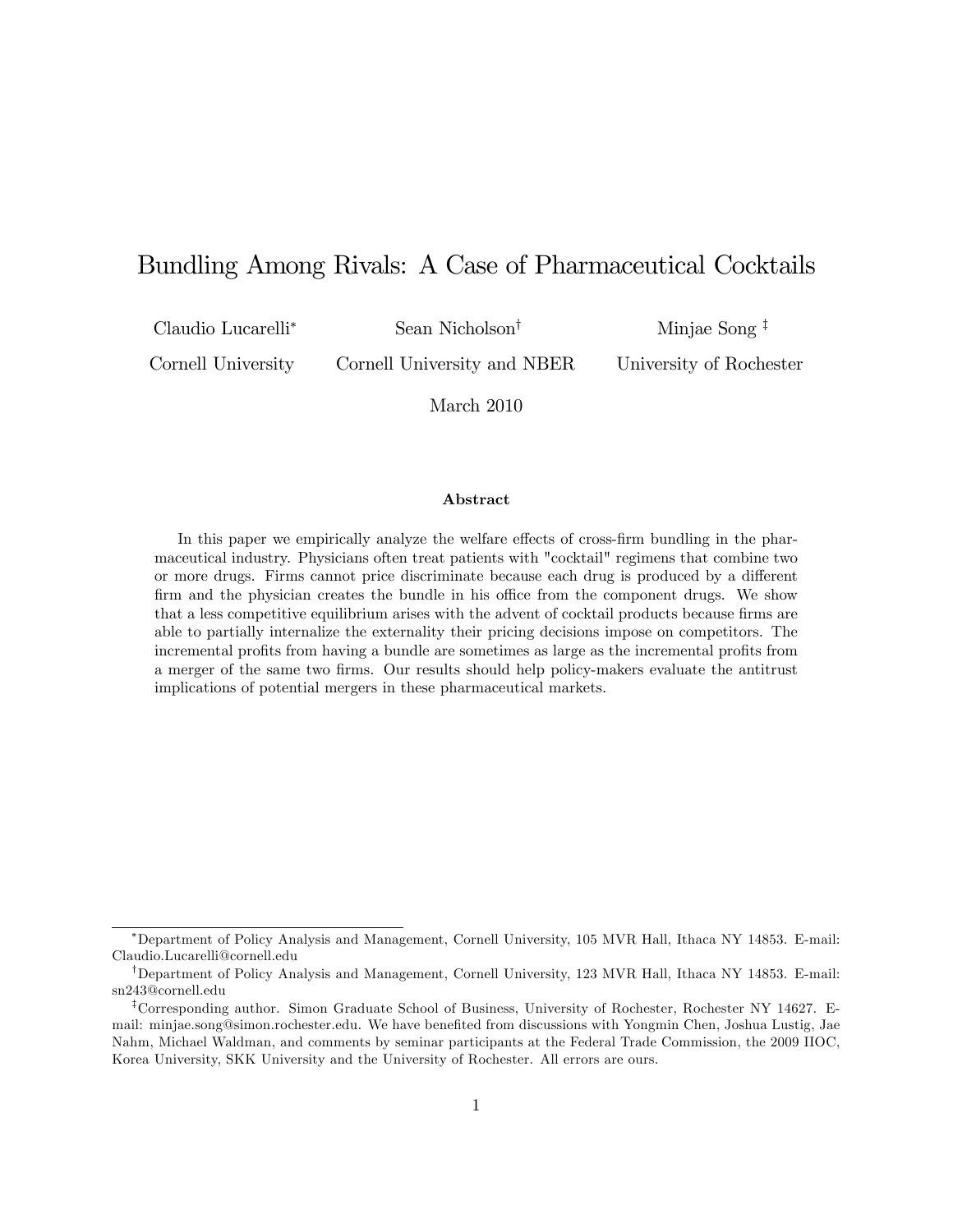# Bundling Among Rivals: A Case of Pharmaceutical Cocktails

Claudio Lucarelli

Sean Nicholson<sup>†</sup>

Cornell University Cornell University and NBER Minjae Song  $\frac{1}{x}$ 

University of Rochester

March 2010

#### Abstract

In this paper we empirically analyze the welfare effects of cross-firm bundling in the pharmaceutical industry. Physicians often treat patients with "cocktail" regimens that combine two or more drugs. Firms cannot price discriminate because each drug is produced by a different firm and the physician creates the bundle in his office from the component drugs. We show that a less competitive equilibrium arises with the advent of cocktail products because firms are able to partially internalize the externality their pricing decisions impose on competitors. The incremental profits from having a bundle are sometimes as large as the incremental profits from a merger of the same two Örms. Our results should help policy-makers evaluate the antitrust implications of potential mergers in these pharmaceutical markets.

Department of Policy Analysis and Management, Cornell University, 105 MVR Hall, Ithaca NY 14853. E-mail: Claudio.Lucarelli@cornell.edu

<sup>&</sup>lt;sup>†</sup>Department of Policy Analysis and Management, Cornell University, 123 MVR Hall, Ithaca NY 14853. E-mail: sn243@cornell.edu

<sup>&</sup>lt;sup>‡</sup>Corresponding author. Simon Graduate School of Business, University of Rochester, Rochester NY 14627. Email: minjae.song@simon.rochester.edu. We have benefited from discussions with Yongmin Chen, Joshua Lustig, Jae Nahm, Michael Waldman, and comments by seminar participants at the Federal Trade Commission, the 2009 IIOC, Korea University, SKK University and the University of Rochester. All errors are ours.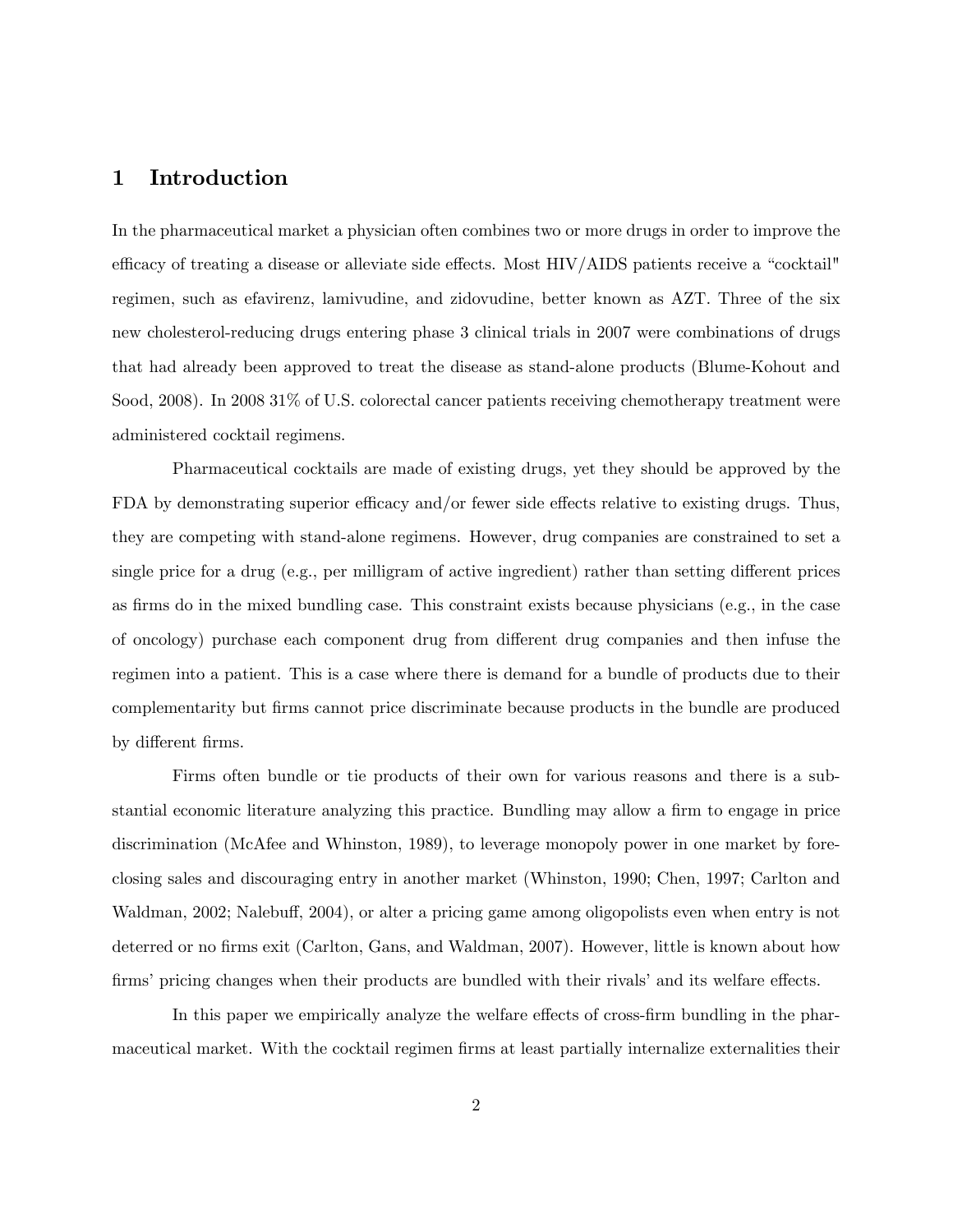## 1 Introduction

In the pharmaceutical market a physician often combines two or more drugs in order to improve the efficacy of treating a disease or alleviate side effects. Most  $HIV/AIDS$  patients receive a "cocktail" regimen, such as efavirenz, lamivudine, and zidovudine, better known as AZT. Three of the six new cholesterol-reducing drugs entering phase 3 clinical trials in 2007 were combinations of drugs that had already been approved to treat the disease as stand-alone products (Blume-Kohout and Sood, 2008). In 2008 31% of U.S. colorectal cancer patients receiving chemotherapy treatment were administered cocktail regimens.

Pharmaceutical cocktails are made of existing drugs, yet they should be approved by the FDA by demonstrating superior efficacy and/or fewer side effects relative to existing drugs. Thus, they are competing with stand-alone regimens. However, drug companies are constrained to set a single price for a drug  $(e.g.,\,per\,million\,of\,active\,ingedient)$  rather than setting different prices as firms do in the mixed bundling case. This constraint exists because physicians (e.g., in the case of oncology) purchase each component drug from different drug companies and then infuse the regimen into a patient. This is a case where there is demand for a bundle of products due to their complementarity but firms cannot price discriminate because products in the bundle are produced by different firms.

Firms often bundle or tie products of their own for various reasons and there is a substantial economic literature analyzing this practice. Bundling may allow a firm to engage in price discrimination (McAfee and Whinston, 1989), to leverage monopoly power in one market by foreclosing sales and discouraging entry in another market (Whinston, 1990; Chen, 1997; Carlton and Waldman, 2002; Nalebuff, 2004), or alter a pricing game among oligopolists even when entry is not deterred or no firms exit (Carlton, Gans, and Waldman, 2007). However, little is known about how firms' pricing changes when their products are bundled with their rivals' and its welfare effects.

In this paper we empirically analyze the welfare effects of cross-firm bundling in the pharmaceutical market. With the cocktail regimen firms at least partially internalize externalities their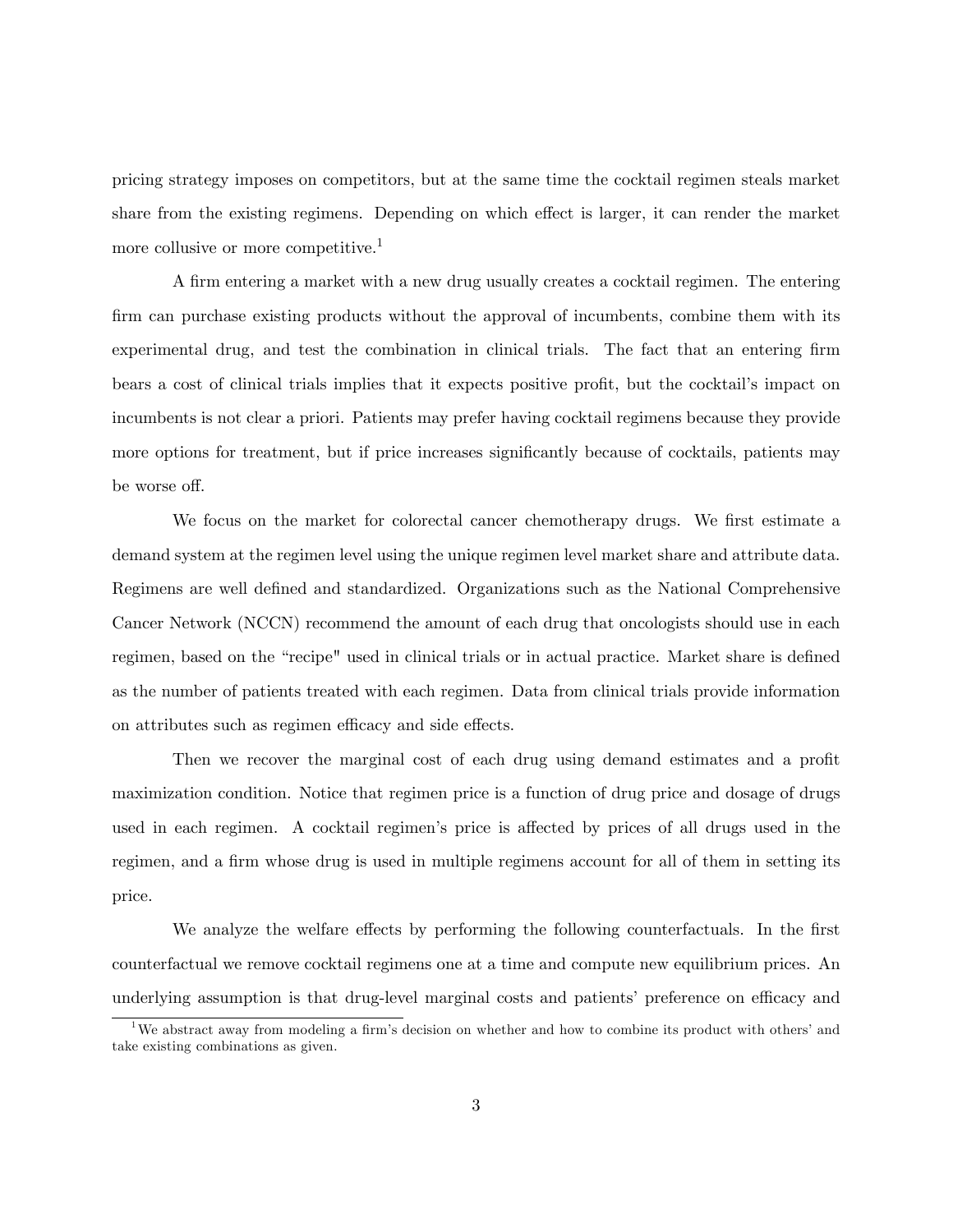pricing strategy imposes on competitors, but at the same time the cocktail regimen steals market share from the existing regimens. Depending on which effect is larger, it can render the market more collusive or more competitive.<sup>1</sup>

A Örm entering a market with a new drug usually creates a cocktail regimen. The entering firm can purchase existing products without the approval of incumbents, combine them with its experimental drug, and test the combination in clinical trials. The fact that an entering firm bears a cost of clinical trials implies that it expects positive profit, but the cocktail's impact on incumbents is not clear a priori. Patients may prefer having cocktail regimens because they provide more options for treatment, but if price increases significantly because of cocktails, patients may be worse off.

We focus on the market for colorectal cancer chemotherapy drugs. We first estimate a demand system at the regimen level using the unique regimen level market share and attribute data. Regimens are well deÖned and standardized. Organizations such as the National Comprehensive Cancer Network (NCCN) recommend the amount of each drug that oncologists should use in each regimen, based on the "recipe" used in clinical trials or in actual practice. Market share is defined as the number of patients treated with each regimen. Data from clinical trials provide information on attributes such as regimen efficacy and side effects.

Then we recover the marginal cost of each drug using demand estimates and a profit maximization condition. Notice that regimen price is a function of drug price and dosage of drugs used in each regimen. A cocktail regimen's price is affected by prices of all drugs used in the regimen, and a firm whose drug is used in multiple regimens account for all of them in setting its price.

We analyze the welfare effects by performing the following counterfactuals. In the first counterfactual we remove cocktail regimens one at a time and compute new equilibrium prices. An underlying assumption is that drug-level marginal costs and patients' preference on efficacy and

<sup>&</sup>lt;sup>1</sup>We abstract away from modeling a firm's decision on whether and how to combine its product with others' and take existing combinations as given.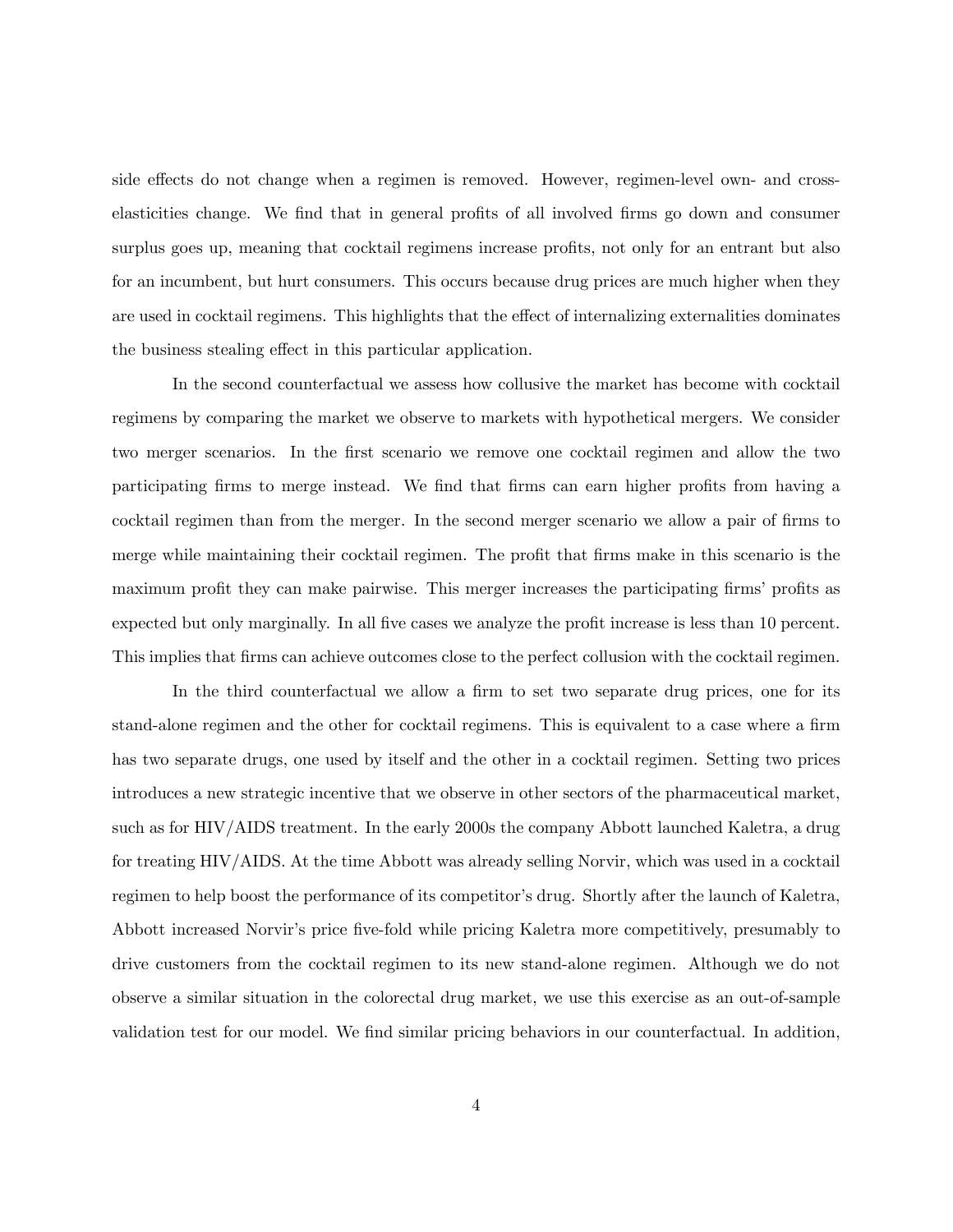side effects do not change when a regimen is removed. However, regimen-level own- and crosselasticities change. We find that in general profits of all involved firms go down and consumer surplus goes up, meaning that cocktail regimens increase profits, not only for an entrant but also for an incumbent, but hurt consumers. This occurs because drug prices are much higher when they are used in cocktail regimens. This highlights that the effect of internalizing externalities dominates the business stealing effect in this particular application.

In the second counterfactual we assess how collusive the market has become with cocktail regimens by comparing the market we observe to markets with hypothetical mergers. We consider two merger scenarios. In the first scenario we remove one cocktail regimen and allow the two participating firms to merge instead. We find that firms can earn higher profits from having a cocktail regimen than from the merger. In the second merger scenario we allow a pair of firms to merge while maintaining their cocktail regimen. The profit that firms make in this scenario is the maximum profit they can make pairwise. This merger increases the participating firms' profits as expected but only marginally. In all five cases we analyze the profit increase is less than 10 percent. This implies that firms can achieve outcomes close to the perfect collusion with the cocktail regimen.

In the third counterfactual we allow a firm to set two separate drug prices, one for its stand-alone regimen and the other for cocktail regimens. This is equivalent to a case where a firm has two separate drugs, one used by itself and the other in a cocktail regimen. Setting two prices introduces a new strategic incentive that we observe in other sectors of the pharmaceutical market, such as for HIV/AIDS treatment. In the early 2000s the company Abbott launched Kaletra, a drug for treating HIV/AIDS. At the time Abbott was already selling Norvir, which was used in a cocktail regimen to help boost the performance of its competitor's drug. Shortly after the launch of Kaletra, Abbott increased Norvir's price five-fold while pricing Kaletra more competitively, presumably to drive customers from the cocktail regimen to its new stand-alone regimen. Although we do not observe a similar situation in the colorectal drug market, we use this exercise as an out-of-sample validation test for our model. We find similar pricing behaviors in our counterfactual. In addition,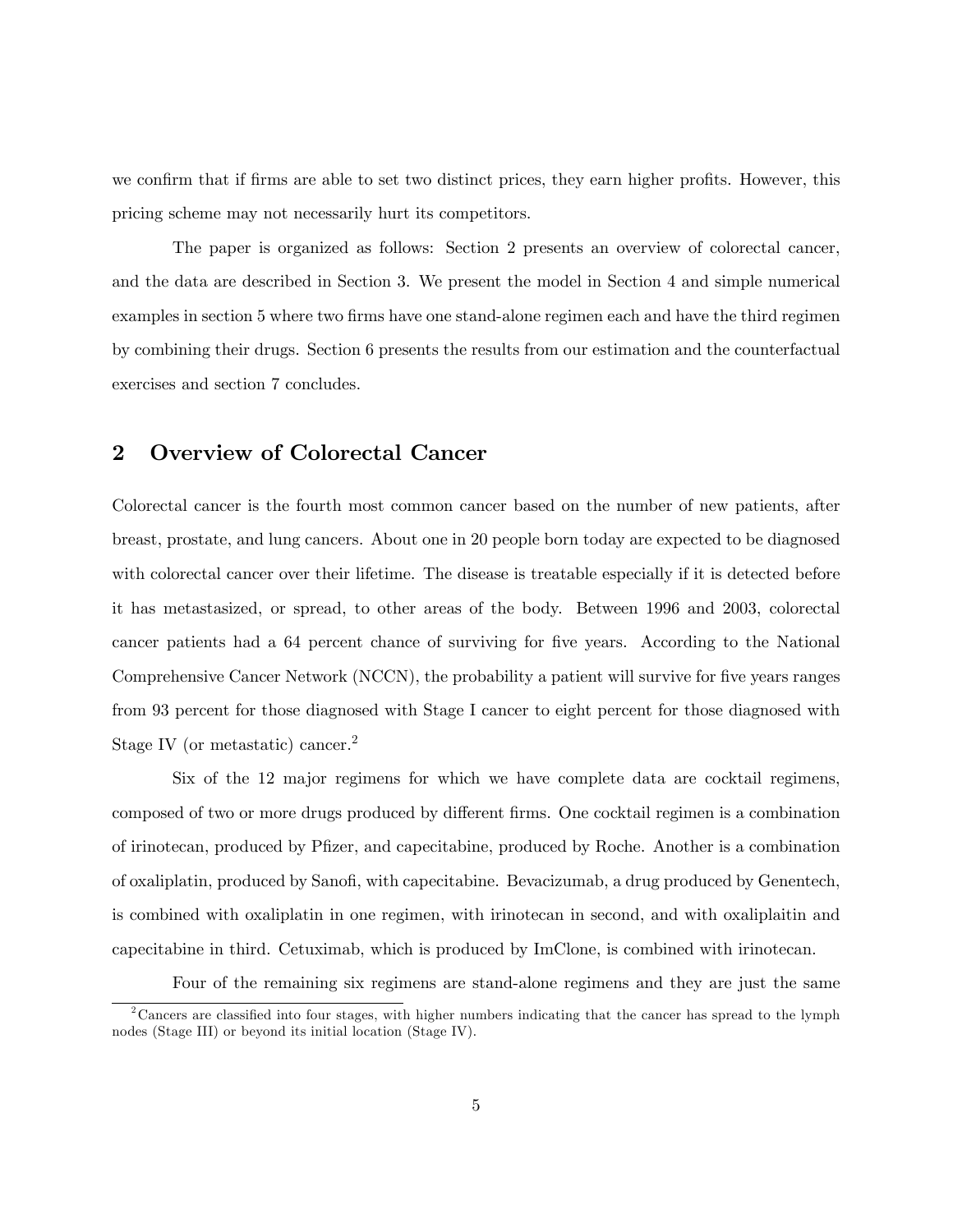we confirm that if firms are able to set two distinct prices, they earn higher profits. However, this pricing scheme may not necessarily hurt its competitors.

The paper is organized as follows: Section 2 presents an overview of colorectal cancer, and the data are described in Section 3. We present the model in Section 4 and simple numerical examples in section 5 where two firms have one stand-alone regimen each and have the third regimen by combining their drugs. Section 6 presents the results from our estimation and the counterfactual exercises and section 7 concludes.

## 2 Overview of Colorectal Cancer

Colorectal cancer is the fourth most common cancer based on the number of new patients, after breast, prostate, and lung cancers. About one in 20 people born today are expected to be diagnosed with colorectal cancer over their lifetime. The disease is treatable especially if it is detected before it has metastasized, or spread, to other areas of the body. Between 1996 and 2003, colorectal cancer patients had a 64 percent chance of surviving for five years. According to the National Comprehensive Cancer Network (NCCN), the probability a patient will survive for five years ranges from 93 percent for those diagnosed with Stage I cancer to eight percent for those diagnosed with Stage IV (or metastatic) cancer.<sup>2</sup>

Six of the 12 major regimens for which we have complete data are cocktail regimens, composed of two or more drugs produced by different firms. One cocktail regimen is a combination of irinotecan, produced by PÖzer, and capecitabine, produced by Roche. Another is a combination of oxaliplatin, produced by Sanofi, with capecitabine. Bevacizumab, a drug produced by Genentech, is combined with oxaliplatin in one regimen, with irinotecan in second, and with oxaliplaitin and capecitabine in third. Cetuximab, which is produced by ImClone, is combined with irinotecan.

Four of the remaining six regimens are stand-alone regimens and they are just the same

 $2^2$ Cancers are classified into four stages, with higher numbers indicating that the cancer has spread to the lymph nodes (Stage III) or beyond its initial location (Stage IV).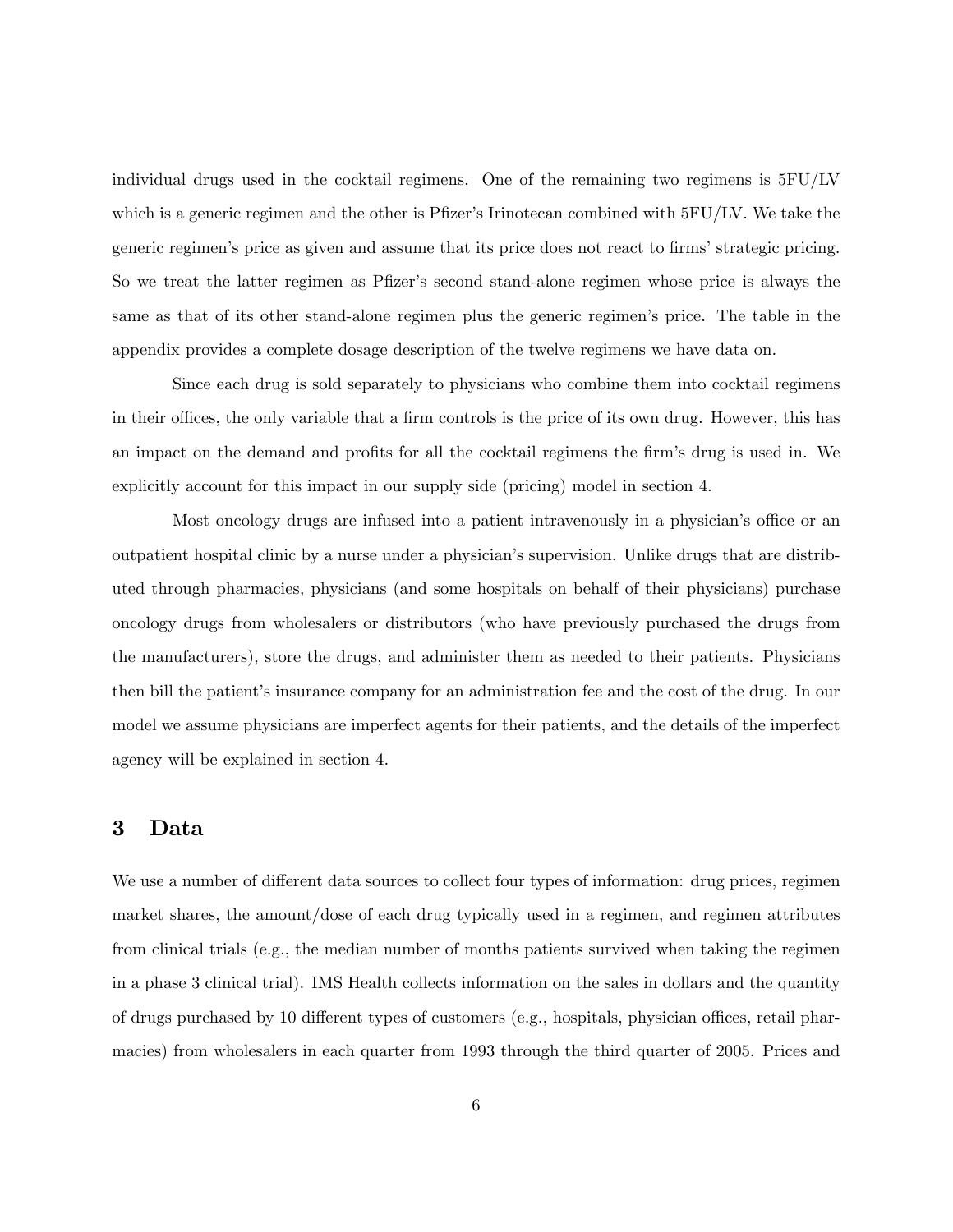individual drugs used in the cocktail regimens. One of the remaining two regimens is  $5FU/IV$ which is a generic regimen and the other is Pfizer's Irinotecan combined with  $5FU/IV$ . We take the generic regimen's price as given and assume that its price does not react to firms' strategic pricing. So we treat the latter regimen as Pfizer's second stand-alone regimen whose price is always the same as that of its other stand-alone regimen plus the generic regimen's price. The table in the appendix provides a complete dosage description of the twelve regimens we have data on.

Since each drug is sold separately to physicians who combine them into cocktail regimens in their offices, the only variable that a firm controls is the price of its own drug. However, this has an impact on the demand and profits for all the cocktail regimens the firm's drug is used in. We explicitly account for this impact in our supply side (pricing) model in section 4.

Most oncology drugs are infused into a patient intravenously in a physician's office or an outpatient hospital clinic by a nurse under a physician's supervision. Unlike drugs that are distributed through pharmacies, physicians (and some hospitals on behalf of their physicians) purchase oncology drugs from wholesalers or distributors (who have previously purchased the drugs from the manufacturers), store the drugs, and administer them as needed to their patients. Physicians then bill the patientís insurance company for an administration fee and the cost of the drug. In our model we assume physicians are imperfect agents for their patients, and the details of the imperfect agency will be explained in section 4.

# 3 Data

We use a number of different data sources to collect four types of information: drug prices, regiment market shares, the amount/dose of each drug typically used in a regimen, and regimen attributes from clinical trials (e.g., the median number of months patients survived when taking the regimen in a phase 3 clinical trial). IMS Health collects information on the sales in dollars and the quantity of drugs purchased by 10 different types of customers (e.g., hospitals, physician offices, retail pharmacies) from wholesalers in each quarter from 1993 through the third quarter of 2005. Prices and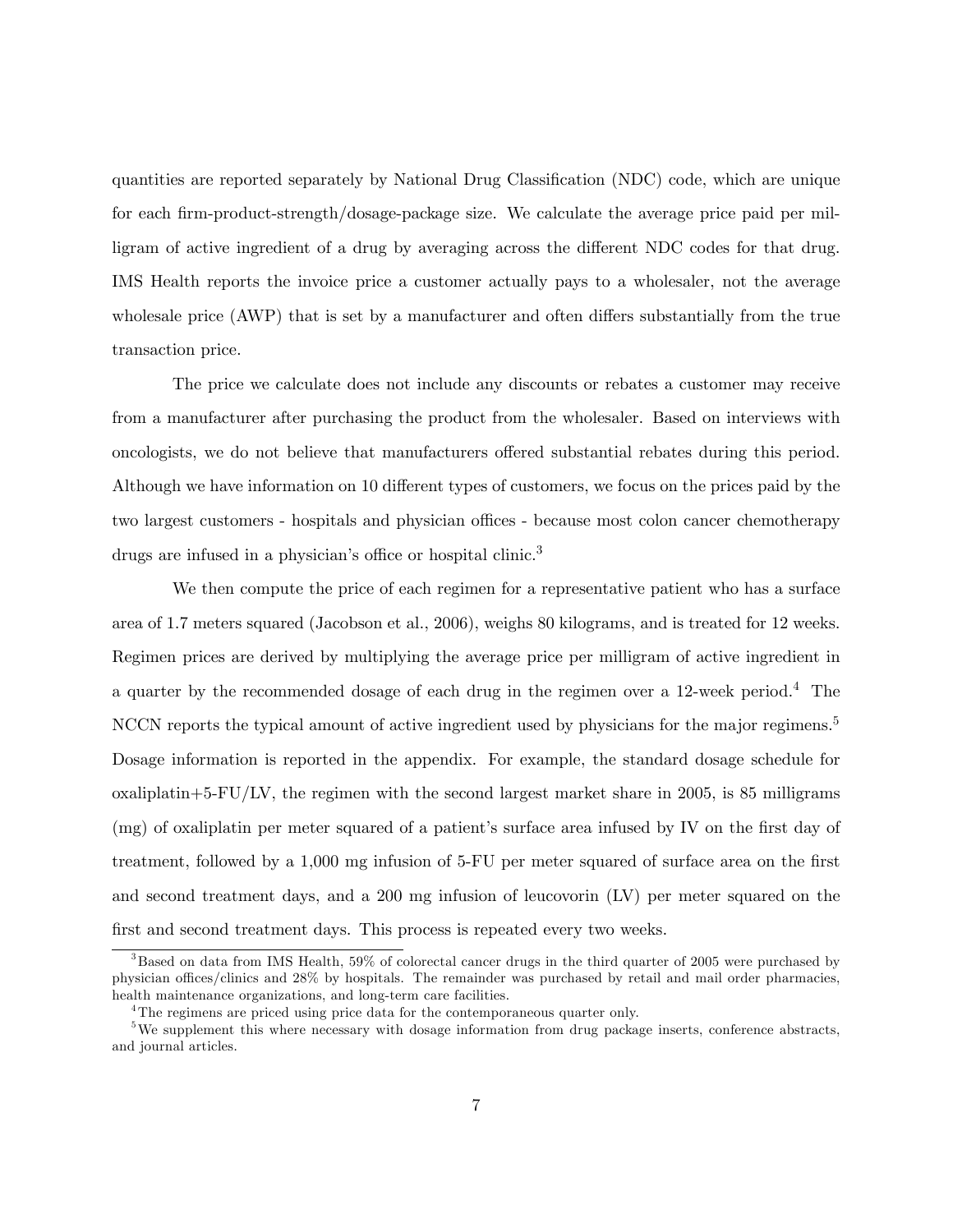quantities are reported separately by National Drug Classification (NDC) code, which are unique for each firm-product-strength/dosage-package size. We calculate the average price paid per milligram of active ingredient of a drug by averaging across the different NDC codes for that drug. IMS Health reports the invoice price a customer actually pays to a wholesaler, not the average wholesale price (AWP) that is set by a manufacturer and often differs substantially from the true transaction price.

The price we calculate does not include any discounts or rebates a customer may receive from a manufacturer after purchasing the product from the wholesaler. Based on interviews with oncologists, we do not believe that manufacturers offered substantial rebates during this period. Although we have information on 10 different types of customers, we focus on the prices paid by the two largest customers - hospitals and physician offices - because most colon cancer chemotherapy drugs are infused in a physician's office or hospital clinic.<sup>3</sup>

We then compute the price of each regimen for a representative patient who has a surface area of 1.7 meters squared (Jacobson et al., 2006), weighs 80 kilograms, and is treated for 12 weeks. Regimen prices are derived by multiplying the average price per milligram of active ingredient in a quarter by the recommended dosage of each drug in the regimen over a 12-week period.<sup>4</sup> The NCCN reports the typical amount of active ingredient used by physicians for the major regimens.<sup>5</sup> Dosage information is reported in the appendix. For example, the standard dosage schedule for  $\alpha$  oxaliplatin+5-FU/LV, the regimen with the second largest market share in 2005, is 85 milligrams (mg) of oxaliplatin per meter squared of a patient's surface area infused by IV on the first day of treatment, followed by a 1,000 mg infusion of 5-FU per meter squared of surface area on the first and second treatment days, and a 200 mg infusion of leucovorin (LV) per meter squared on the first and second treatment days. This process is repeated every two weeks.

<sup>&</sup>lt;sup>3</sup>Based on data from IMS Health, 59% of colorectal cancer drugs in the third quarter of 2005 were purchased by physician offices/clinics and 28% by hospitals. The remainder was purchased by retail and mail order pharmacies, health maintenance organizations, and long-term care facilities.

<sup>&</sup>lt;sup>4</sup>The regimens are priced using price data for the contemporaneous quarter only.

<sup>&</sup>lt;sup>5</sup>We supplement this where necessary with dosage information from drug package inserts, conference abstracts, and journal articles.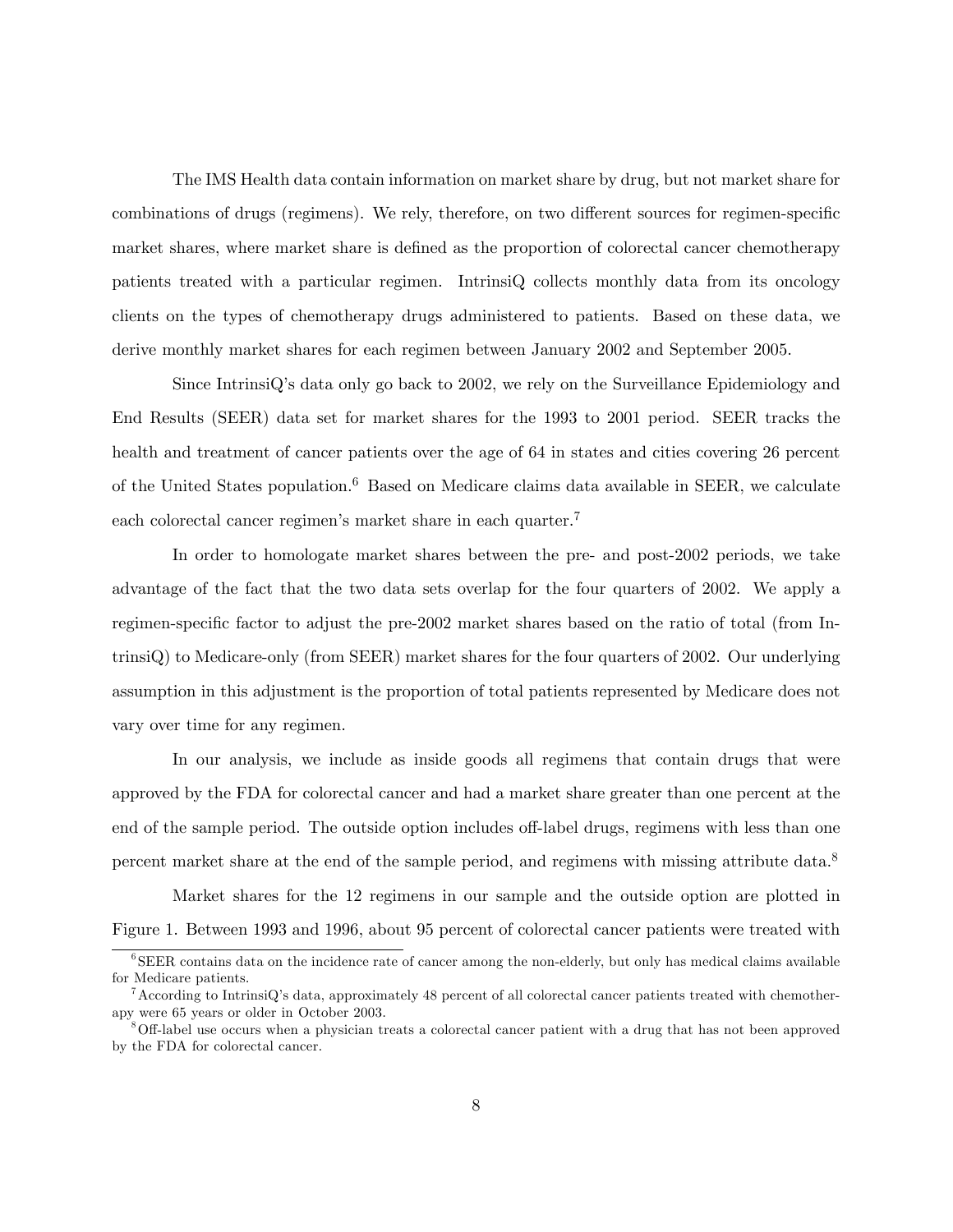The IMS Health data contain information on market share by drug, but not market share for combinations of drugs (regimens). We rely, therefore, on two different sources for regimen-specific market shares, where market share is defined as the proportion of colorectal cancer chemotherapy patients treated with a particular regimen. IntrinsiQ collects monthly data from its oncology clients on the types of chemotherapy drugs administered to patients. Based on these data, we derive monthly market shares for each regimen between January 2002 and September 2005.

Since IntrinsiQís data only go back to 2002, we rely on the Surveillance Epidemiology and End Results (SEER) data set for market shares for the 1993 to 2001 period. SEER tracks the health and treatment of cancer patients over the age of 64 in states and cities covering 26 percent of the United States population.<sup>6</sup> Based on Medicare claims data available in SEER, we calculate each colorectal cancer regimen's market share in each quarter.<sup>7</sup>

In order to homologate market shares between the pre- and post-2002 periods, we take advantage of the fact that the two data sets overlap for the four quarters of 2002. We apply a regimen-specific factor to adjust the pre-2002 market shares based on the ratio of total (from IntrinsiQ) to Medicare-only (from SEER) market shares for the four quarters of 2002. Our underlying assumption in this adjustment is the proportion of total patients represented by Medicare does not vary over time for any regimen.

In our analysis, we include as inside goods all regimens that contain drugs that were approved by the FDA for colorectal cancer and had a market share greater than one percent at the end of the sample period. The outside option includes off-label drugs, regimens with less than one percent market share at the end of the sample period, and regimens with missing attribute data.<sup>8</sup>

Market shares for the 12 regimens in our sample and the outside option are plotted in Figure 1. Between 1993 and 1996, about 95 percent of colorectal cancer patients were treated with

<sup>&</sup>lt;sup>6</sup>SEER contains data on the incidence rate of cancer among the non-elderly, but only has medical claims available for Medicare patients.

 $^7$ According to IntrinsiQ's data, approximately 48 percent of all colorectal cancer patients treated with chemotherapy were 65 years or older in October 2003.

<sup>&</sup>lt;sup>8</sup>Off-label use occurs when a physician treats a colorectal cancer patient with a drug that has not been approved by the FDA for colorectal cancer.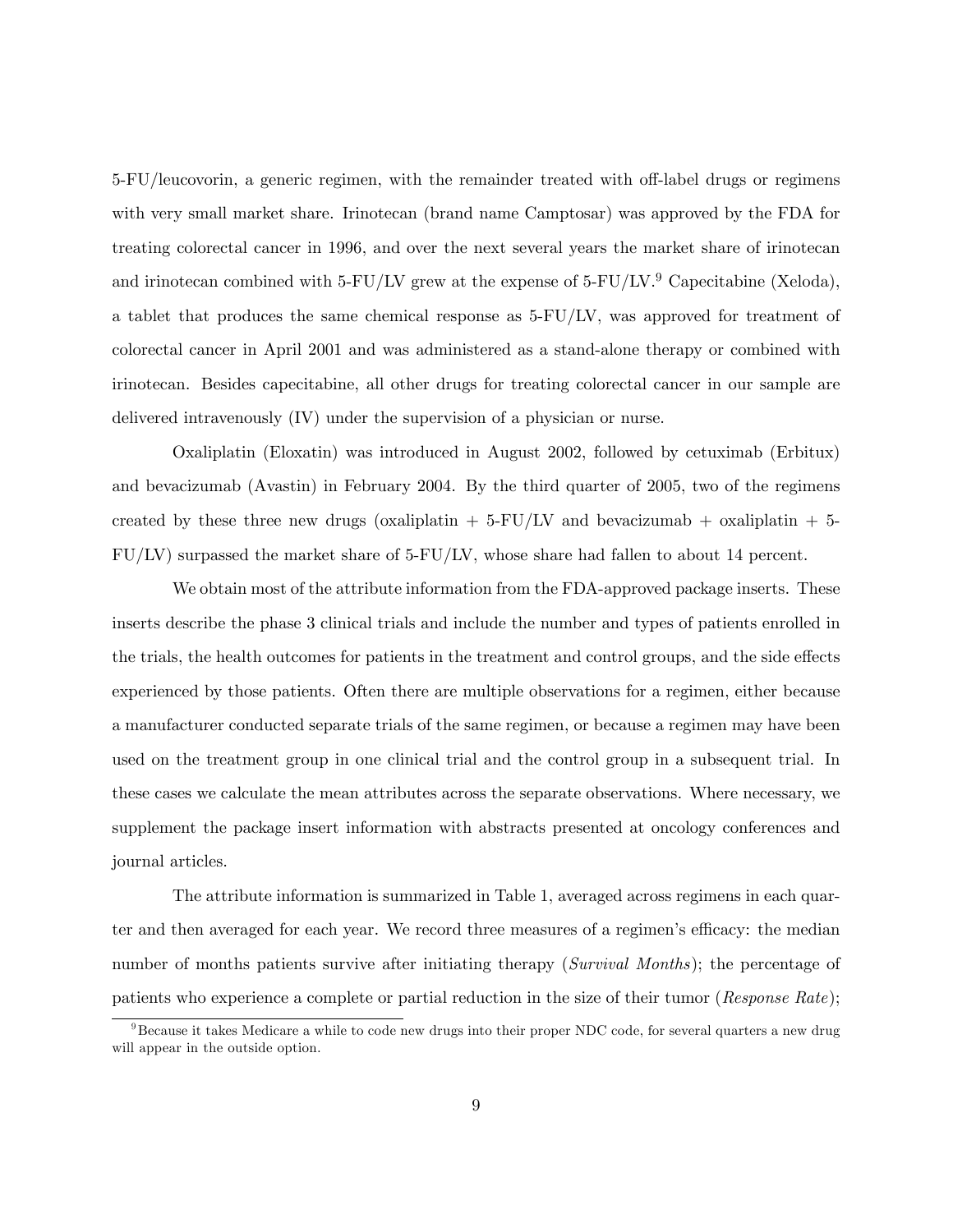5-FU/leucovorin, a generic regimen, with the remainder treated with off-label drugs or regimens with very small market share. Irinotecan (brand name Camptosar) was approved by the FDA for treating colorectal cancer in 1996, and over the next several years the market share of irinotecan and irinotecan combined with 5-FU/LV grew at the expense of  $5$ -FU/LV.<sup>9</sup> Capecitabine (Xeloda), a tablet that produces the same chemical response as 5-FU/LV, was approved for treatment of colorectal cancer in April 2001 and was administered as a stand-alone therapy or combined with irinotecan. Besides capecitabine, all other drugs for treating colorectal cancer in our sample are delivered intravenously (IV) under the supervision of a physician or nurse.

Oxaliplatin (Eloxatin) was introduced in August 2002, followed by cetuximab (Erbitux) and bevacizumab (Avastin) in February 2004. By the third quarter of 2005, two of the regimens created by these three new drugs (oxaliplatin  $+ 5-FU/LV$  and bevacizumab  $+$  oxaliplatin  $+ 5$ -FU/LV) surpassed the market share of 5-FU/LV, whose share had fallen to about 14 percent.

We obtain most of the attribute information from the FDA-approved package inserts. These inserts describe the phase 3 clinical trials and include the number and types of patients enrolled in the trials, the health outcomes for patients in the treatment and control groups, and the side effects experienced by those patients. Often there are multiple observations for a regimen, either because a manufacturer conducted separate trials of the same regimen, or because a regimen may have been used on the treatment group in one clinical trial and the control group in a subsequent trial. In these cases we calculate the mean attributes across the separate observations. Where necessary, we supplement the package insert information with abstracts presented at oncology conferences and journal articles.

The attribute information is summarized in Table 1, averaged across regimens in each quarter and then averaged for each year. We record three measures of a regimen's efficacy: the median number of months patients survive after initiating therapy (Survival Months); the percentage of patients who experience a complete or partial reduction in the size of their tumor (Response Rate);

 $9B$ ecause it takes Medicare a while to code new drugs into their proper NDC code, for several quarters a new drug will appear in the outside option.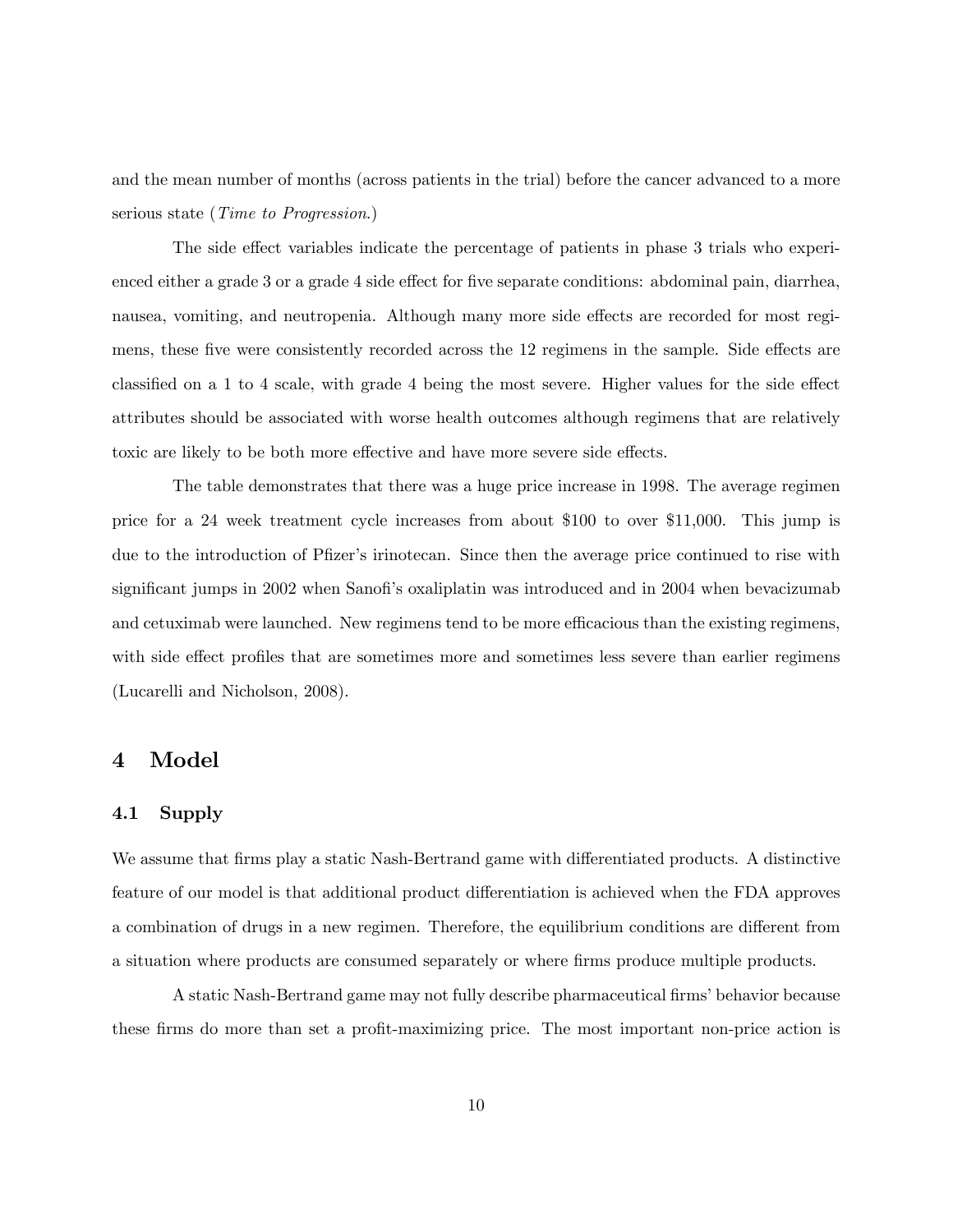and the mean number of months (across patients in the trial) before the cancer advanced to a more serious state (Time to Progression.)

The side effect variables indicate the percentage of patients in phase 3 trials who experienced either a grade 3 or a grade 4 side effect for five separate conditions: abdominal pain, diarrhea, nausea, vomiting, and neutropenia. Although many more side effects are recorded for most regimens, these five were consistently recorded across the 12 regimens in the sample. Side effects are classified on a 1 to 4 scale, with grade 4 being the most severe. Higher values for the side effect attributes should be associated with worse health outcomes although regimens that are relatively toxic are likely to be both more effective and have more severe side effects.

The table demonstrates that there was a huge price increase in 1998. The average regimen price for a 24 week treatment cycle increases from about \$100 to over \$11,000. This jump is due to the introduction of Pfizer's irinotecan. Since then the average price continued to rise with significant jumps in 2002 when Sanofi's oxaliplatin was introduced and in 2004 when bevacizumab and cetuximab were launched. New regimens tend to be more efficacious than the existing regimens, with side effect profiles that are sometimes more and sometimes less severe than earlier regimens (Lucarelli and Nicholson, 2008).

#### 4 Model

#### 4.1 Supply

We assume that firms play a static Nash-Bertrand game with differentiated products. A distinctive feature of our model is that additional product differentiation is achieved when the FDA approves a combination of drugs in a new regimen. Therefore, the equilibrium conditions are different from a situation where products are consumed separately or where firms produce multiple products.

A static Nash-Bertrand game may not fully describe pharmaceutical firms' behavior because these firms do more than set a profit-maximizing price. The most important non-price action is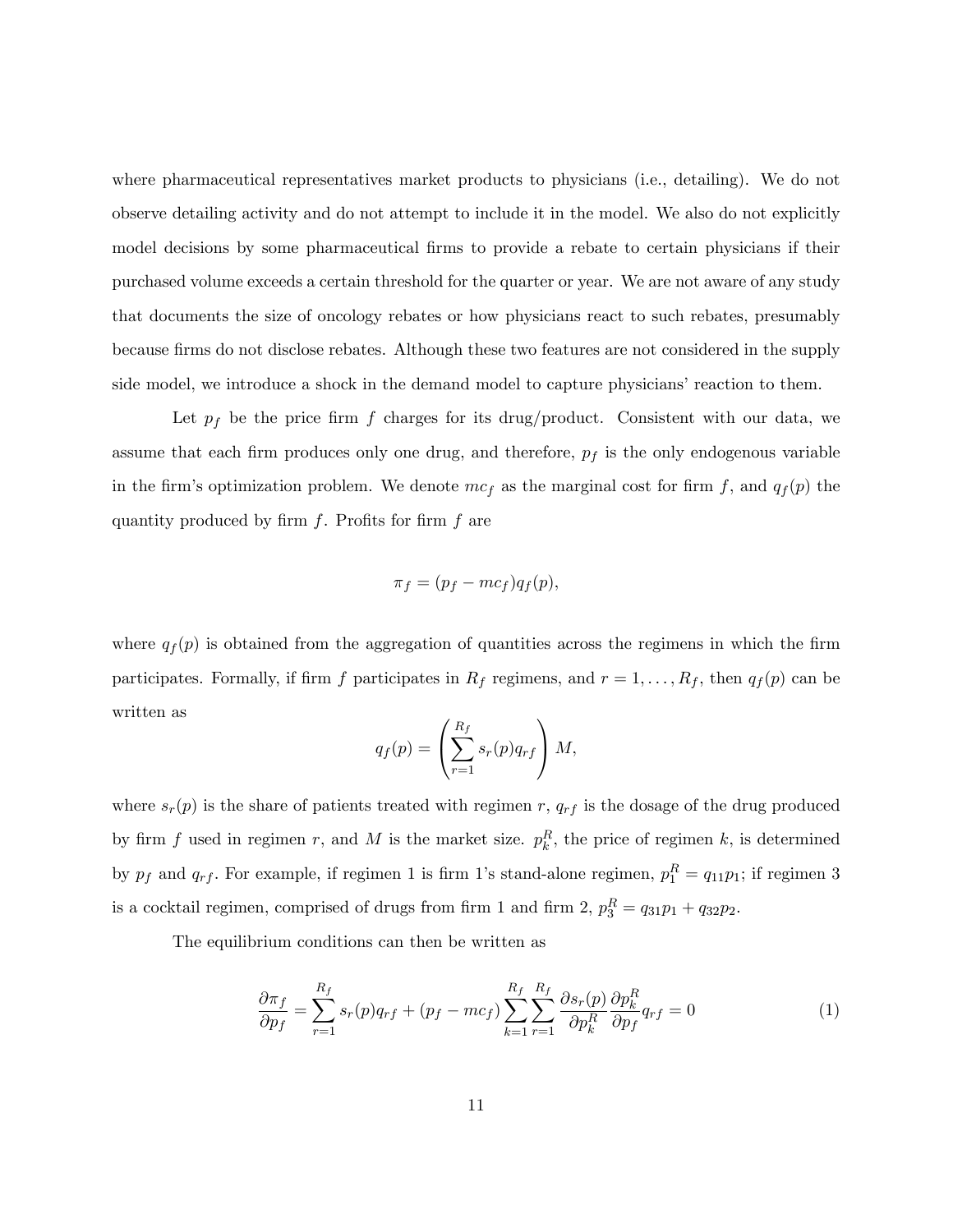where pharmaceutical representatives market products to physicians (i.e., detailing). We do not observe detailing activity and do not attempt to include it in the model. We also do not explicitly model decisions by some pharmaceutical firms to provide a rebate to certain physicians if their purchased volume exceeds a certain threshold for the quarter or year. We are not aware of any study that documents the size of oncology rebates or how physicians react to such rebates, presumably because firms do not disclose rebates. Although these two features are not considered in the supply side model, we introduce a shock in the demand model to capture physicians' reaction to them.

Let  $p_f$  be the price firm f charges for its drug/product. Consistent with our data, we assume that each firm produces only one drug, and therefore,  $p_f$  is the only endogenous variable in the firm's optimization problem. We denote  $mc_f$  as the marginal cost for firm f, and  $q_f(p)$  the quantity produced by firm  $f$ . Profits for firm  $f$  are

$$
\pi_f = (p_f - mc_f)q_f(p),
$$

where  $q_f(p)$  is obtained from the aggregation of quantities across the regimens in which the firm participates. Formally, if firm f participates in  $R_f$  regimens, and  $r = 1, \ldots, R_f$ , then  $q_f(p)$  can be written as

$$
q_f(p) = \left(\sum_{r=1}^{R_f} s_r(p) q_{rf}\right) M,
$$

where  $s_r(p)$  is the share of patients treated with regimen r,  $q_{rf}$  is the dosage of the drug produced by firm f used in regimen r, and M is the market size.  $p_k^R$ , the price of regimen k, is determined by  $p_f$  and  $q_{rf}$ . For example, if regimen 1 is firm 1's stand-alone regimen,  $p_1^R = q_{11}p_1$ ; if regimen 3 is a cocktail regimen, comprised of drugs from firm 1 and firm 2,  $p_3^R = q_{31}p_1 + q_{32}p_2$ .

The equilibrium conditions can then be written as

$$
\frac{\partial \pi_f}{\partial p_f} = \sum_{r=1}^{R_f} s_r(p) q_{rf} + (p_f - mc_f) \sum_{k=1}^{R_f} \sum_{r=1}^{R_f} \frac{\partial s_r(p)}{\partial p_k^R} \frac{\partial p_k^R}{\partial p_f} q_{rf} = 0 \tag{1}
$$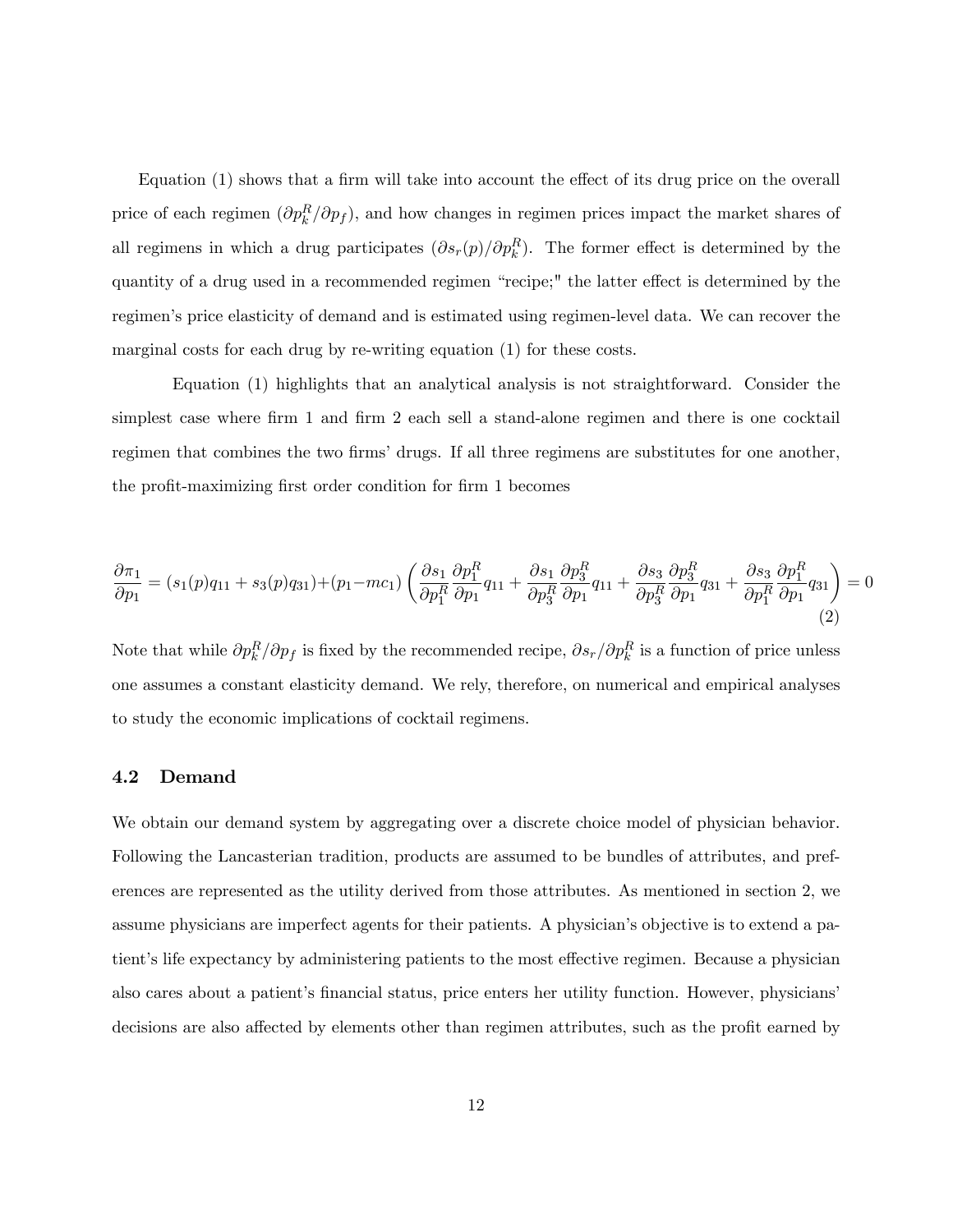Equation  $(1)$  shows that a firm will take into account the effect of its drug price on the overall price of each regimen  $(\partial p_k^R/\partial p_f)$ , and how changes in regimen prices impact the market shares of all regimens in which a drug participates  $(\partial s_r(p)/\partial p_k^R)$ . The former effect is determined by the quantity of a drug used in a recommended regimen "recipe;" the latter effect is determined by the regimenís price elasticity of demand and is estimated using regimen-level data. We can recover the marginal costs for each drug by re-writing equation (1) for these costs.

Equation (1) highlights that an analytical analysis is not straightforward. Consider the simplest case where firm 1 and firm 2 each sell a stand-alone regimen and there is one cocktail regimen that combines the two firms' drugs. If all three regimens are substitutes for one another, the profit-maximizing first order condition for firm 1 becomes

$$
\frac{\partial \pi_1}{\partial p_1} = (s_1(p)q_{11} + s_3(p)q_{31}) + (p_1 - mc_1) \left( \frac{\partial s_1}{\partial p_1^R} \frac{\partial p_1^R}{\partial p_1} q_{11} + \frac{\partial s_1}{\partial p_3^R} \frac{\partial p_3^R}{\partial p_1} q_{11} + \frac{\partial s_3}{\partial p_3^R} \frac{\partial p_3^R}{\partial p_1} q_{31} + \frac{\partial s_3}{\partial p_1^R} \frac{\partial p_1^R}{\partial p_1} q_{31} \right) = 0
$$
\n(2)

Note that while  $\partial p_k^R/\partial p_f$  is fixed by the recommended recipe,  $\partial s_r/\partial p_k^R$  is a function of price unless one assumes a constant elasticity demand. We rely, therefore, on numerical and empirical analyses to study the economic implications of cocktail regimens.

#### 4.2 Demand

We obtain our demand system by aggregating over a discrete choice model of physician behavior. Following the Lancasterian tradition, products are assumed to be bundles of attributes, and preferences are represented as the utility derived from those attributes. As mentioned in section 2, we assume physicians are imperfect agents for their patients. A physician's objective is to extend a patient's life expectancy by administering patients to the most effective regimen. Because a physician also cares about a patient's financial status, price enters her utility function. However, physicians' decisions are also affected by elements other than regimen attributes, such as the profit earned by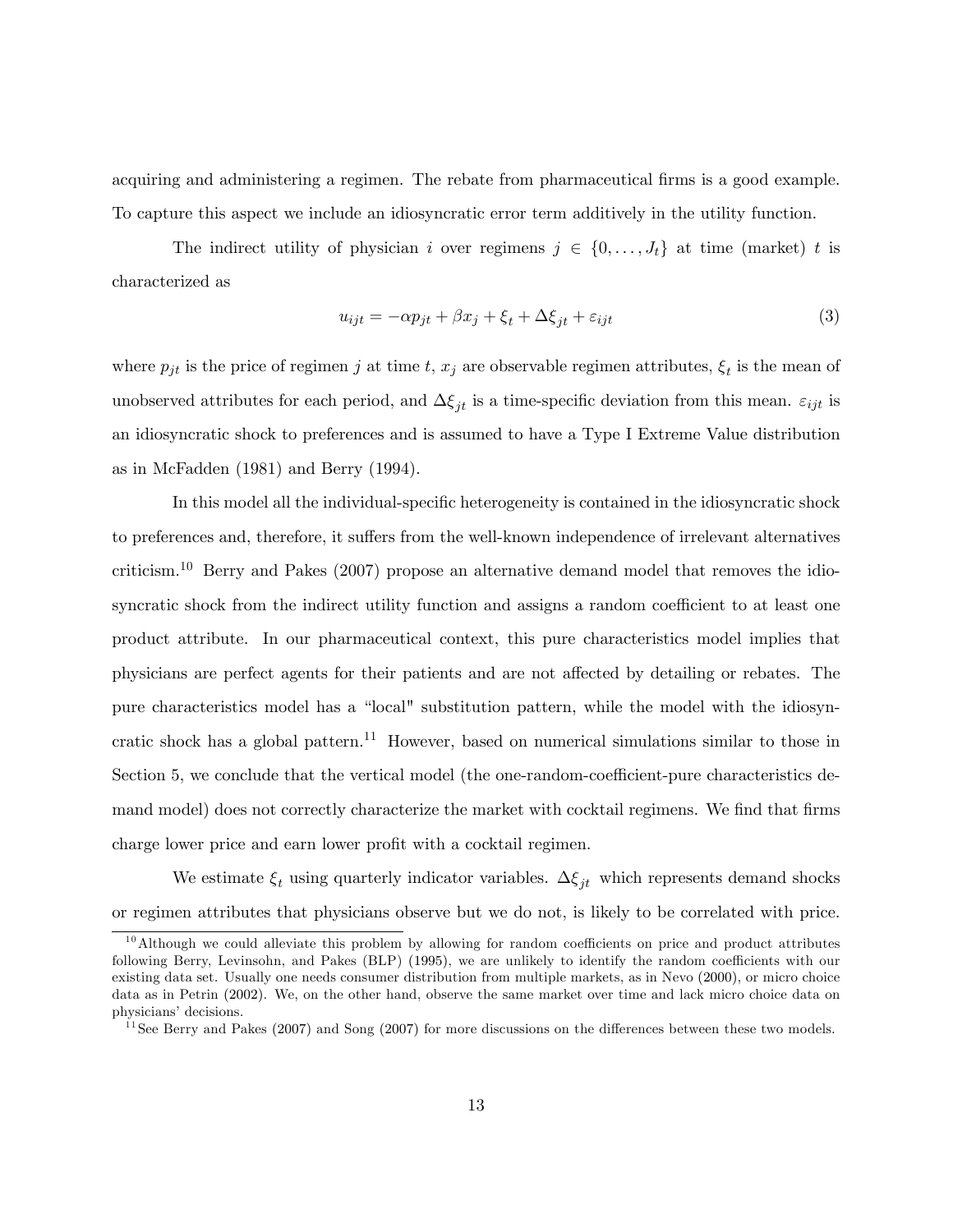acquiring and administering a regimen. The rebate from pharmaceutical firms is a good example. To capture this aspect we include an idiosyncratic error term additively in the utility function.

The indirect utility of physician i over regimens  $j \in \{0, \ldots, J_t\}$  at time (market) t is characterized as

$$
u_{ijt} = -\alpha p_{jt} + \beta x_j + \xi_t + \Delta \xi_{jt} + \varepsilon_{ijt}
$$
\n<sup>(3)</sup>

where  $p_{jt}$  is the price of regimen j at time t,  $x_j$  are observable regimen attributes,  $\xi_t$  is the mean of unobserved attributes for each period, and  $\Delta \xi_{it}$  is a time-specific deviation from this mean.  $\varepsilon_{ijt}$  is an idiosyncratic shock to preferences and is assumed to have a Type I Extreme Value distribution as in McFadden (1981) and Berry (1994).

In this model all the individual-specific heterogeneity is contained in the idiosyncratic shock to preferences and, therefore, it suffers from the well-known independence of irrelevant alternatives criticism.<sup>10</sup> Berry and Pakes (2007) propose an alternative demand model that removes the idiosyncratic shock from the indirect utility function and assigns a random coefficient to at least one product attribute. In our pharmaceutical context, this pure characteristics model implies that physicians are perfect agents for their patients and are not a§ected by detailing or rebates. The pure characteristics model has a "local" substitution pattern, while the model with the idiosyncratic shock has a global pattern.<sup>11</sup> However, based on numerical simulations similar to those in Section 5, we conclude that the vertical model (the one-random-coefficient-pure characteristics demand model) does not correctly characterize the market with cocktail regimens. We find that firms charge lower price and earn lower profit with a cocktail regimen.

We estimate  $\xi_t$  using quarterly indicator variables.  $\Delta \xi_{jt}$  which represents demand shocks or regimen attributes that physicians observe but we do not, is likely to be correlated with price.

 $10$ Although we could alleviate this problem by allowing for random coefficients on price and product attributes following Berry, Levinsohn, and Pakes (BLP) (1995), we are unlikely to identify the random coefficients with our existing data set. Usually one needs consumer distribution from multiple markets, as in Nevo (2000), or micro choice data as in Petrin (2002). We, on the other hand, observe the same market over time and lack micro choice data on physicians' decisions.

 $11$ See Berry and Pakes (2007) and Song (2007) for more discussions on the differences between these two models.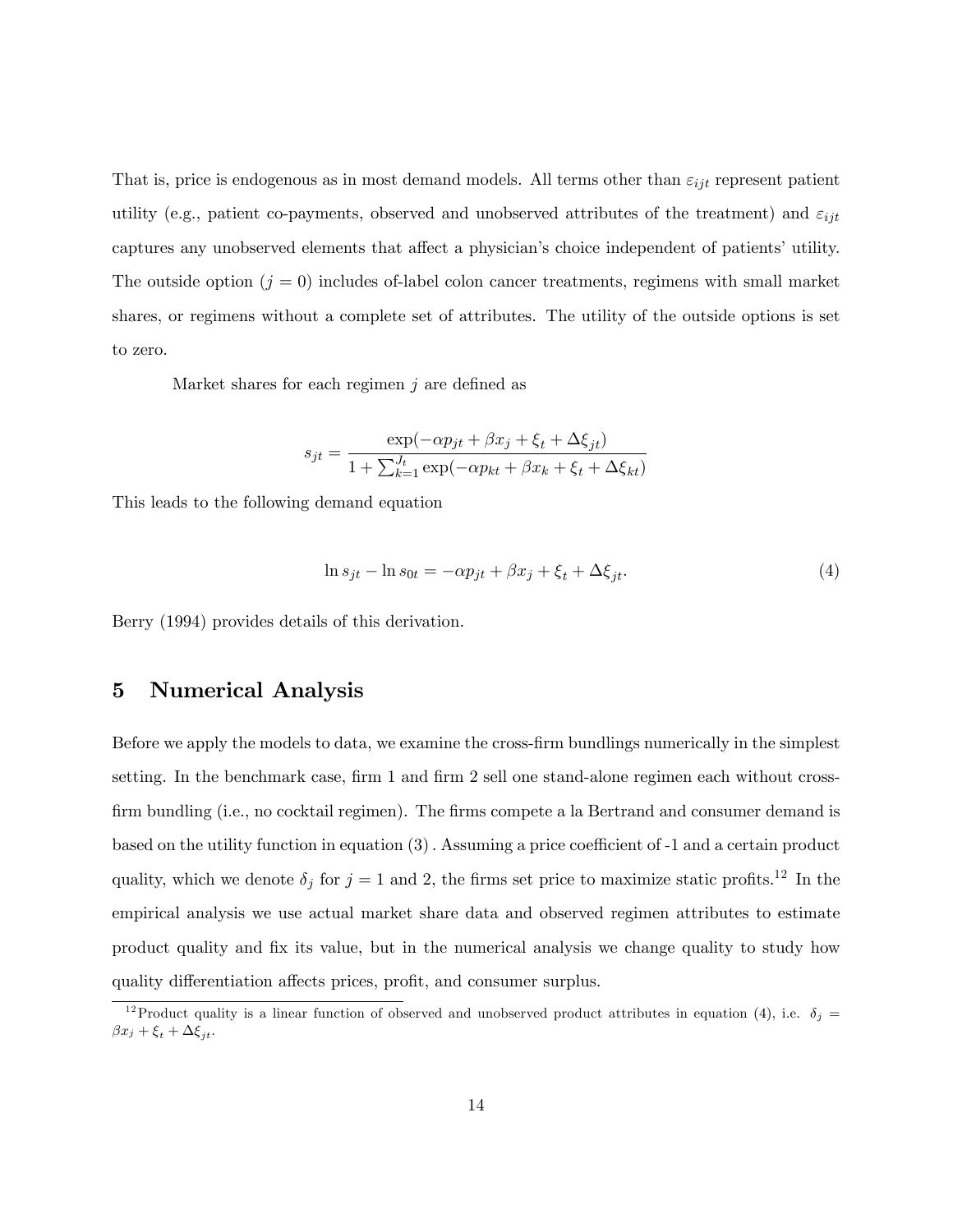That is, price is endogenous as in most demand models. All terms other than  $\varepsilon_{ijt}$  represent patient utility (e.g., patient co-payments, observed and unobserved attributes of the treatment) and  $\varepsilon_{ijt}$ captures any unobserved elements that affect a physician's choice independent of patients' utility. The outside option  $(j = 0)$  includes of-label colon cancer treatments, regimens with small market shares, or regimens without a complete set of attributes. The utility of the outside options is set to zero.

Market shares for each regimen  $j$  are defined as

$$
s_{jt} = \frac{\exp(-\alpha p_{jt} + \beta x_j + \xi_t + \Delta \xi_{jt})}{1 + \sum_{k=1}^{J_t} \exp(-\alpha p_{kt} + \beta x_k + \xi_t + \Delta \xi_{kt})}
$$

This leads to the following demand equation

$$
\ln s_{jt} - \ln s_{0t} = -\alpha p_{jt} + \beta x_j + \xi_t + \Delta \xi_{jt}.
$$
\n<sup>(4)</sup>

Berry (1994) provides details of this derivation.

#### 5 Numerical Analysis

Before we apply the models to data, we examine the cross-Örm bundlings numerically in the simplest setting. In the benchmark case, firm 1 and firm 2 sell one stand-alone regimen each without crossfirm bundling (i.e., no cocktail regimen). The firms compete a la Bertrand and consumer demand is based on the utility function in equation  $(3)$ . Assuming a price coefficient of -1 and a certain product quality, which we denote  $\delta_j$  for  $j = 1$  and 2, the firms set price to maximize static profits.<sup>12</sup> In the empirical analysis we use actual market share data and observed regimen attributes to estimate product quality and Öx its value, but in the numerical analysis we change quality to study how quality differentiation affects prices, profit, and consumer surplus.

<sup>&</sup>lt;sup>12</sup>Product quality is a linear function of observed and unobserved product attributes in equation (4), i.e.  $\delta_j =$  $\beta x_j + \xi_t + \Delta \xi_{jt}.$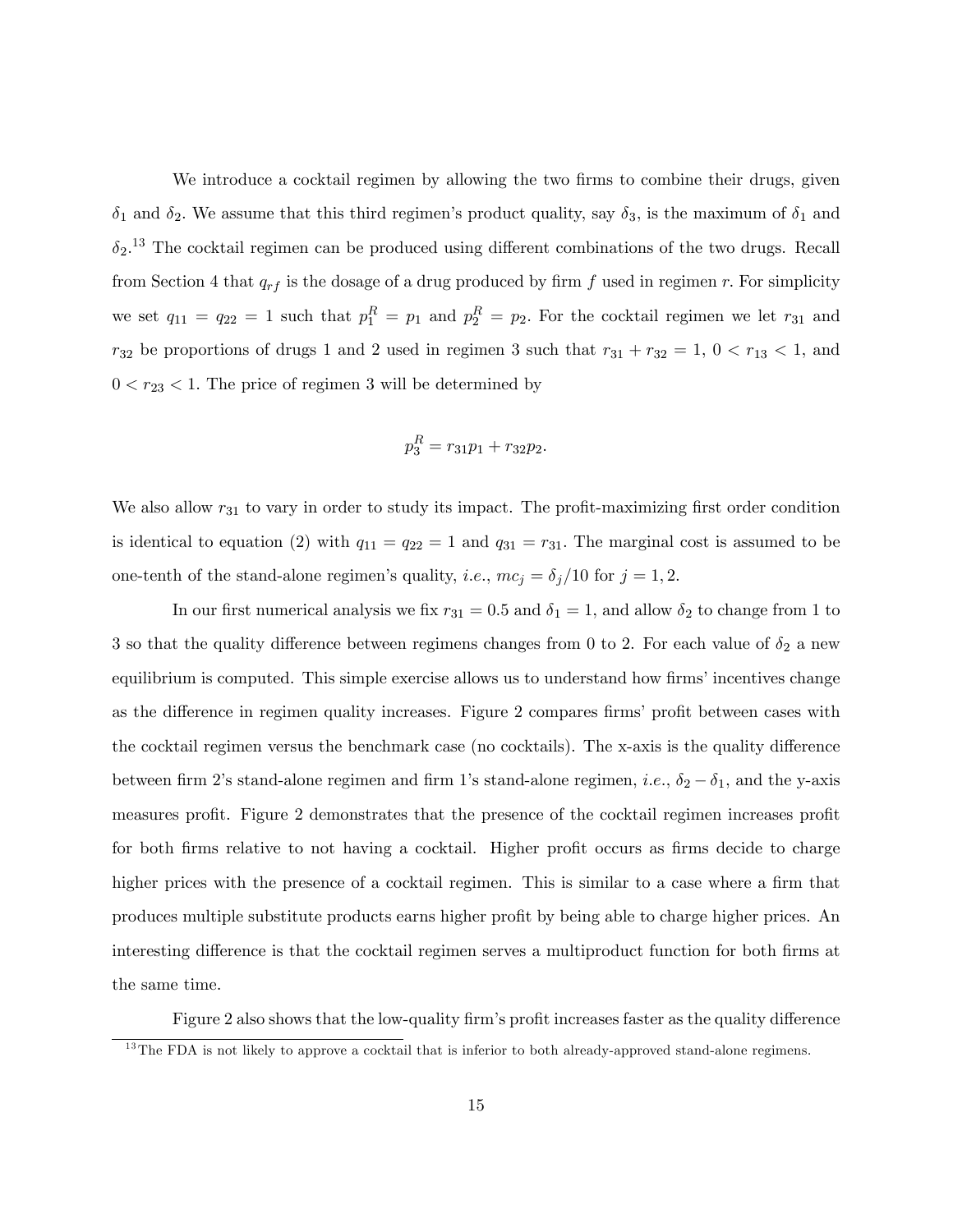We introduce a cocktail regimen by allowing the two firms to combine their drugs, given  $\delta_1$  and  $\delta_2$ . We assume that this third regimen's product quality, say  $\delta_3$ , is the maximum of  $\delta_1$  and  $\delta_2$ <sup>13</sup> The cocktail regimen can be produced using different combinations of the two drugs. Recall from Section 4 that  $q_{rf}$  is the dosage of a drug produced by firm f used in regimen r. For simplicity we set  $q_{11} = q_{22} = 1$  such that  $p_1^R = p_1$  and  $p_2^R = p_2$ . For the cocktail regimen we let  $r_{31}$  and  $r_{32}$  be proportions of drugs 1 and 2 used in regimen 3 such that  $r_{31} + r_{32} = 1$ ,  $0 < r_{13} < 1$ , and  $0 < r_{23} < 1$ . The price of regimen 3 will be determined by

$$
p_3^R = r_{31}p_1 + r_{32}p_2.
$$

We also allow  $r_{31}$  to vary in order to study its impact. The profit-maximizing first order condition is identical to equation (2) with  $q_{11} = q_{22} = 1$  and  $q_{31} = r_{31}$ . The marginal cost is assumed to be one-tenth of the stand-alone regimen's quality, *i.e.*,  $mc_j = \delta_j/10$  for  $j = 1, 2$ .

In our first numerical analysis we fix  $r_{31} = 0.5$  and  $\delta_1 = 1$ , and allow  $\delta_2$  to change from 1 to 3 so that the quality difference between regimens changes from 0 to 2. For each value of  $\delta_2$  a new equilibrium is computed. This simple exercise allows us to understand how firms' incentives change as the difference in regimen quality increases. Figure 2 compares firms' profit between cases with the cocktail regimen versus the benchmark case (no cocktails). The x-axis is the quality difference between firm 2's stand-alone regimen and firm 1's stand-alone regimen, *i.e.*,  $\delta_2 - \delta_1$ , and the y-axis measures profit. Figure 2 demonstrates that the presence of the cocktail regimen increases profit for both firms relative to not having a cocktail. Higher profit occurs as firms decide to charge higher prices with the presence of a cocktail regimen. This is similar to a case where a firm that produces multiple substitute products earns higher profit by being able to charge higher prices. An interesting difference is that the cocktail regimen serves a multiproduct function for both firms at the same time.

Figure 2 also shows that the low-quality firm's profit increases faster as the quality difference

<sup>&</sup>lt;sup>13</sup>The FDA is not likely to approve a cocktail that is inferior to both already-approved stand-alone regimens.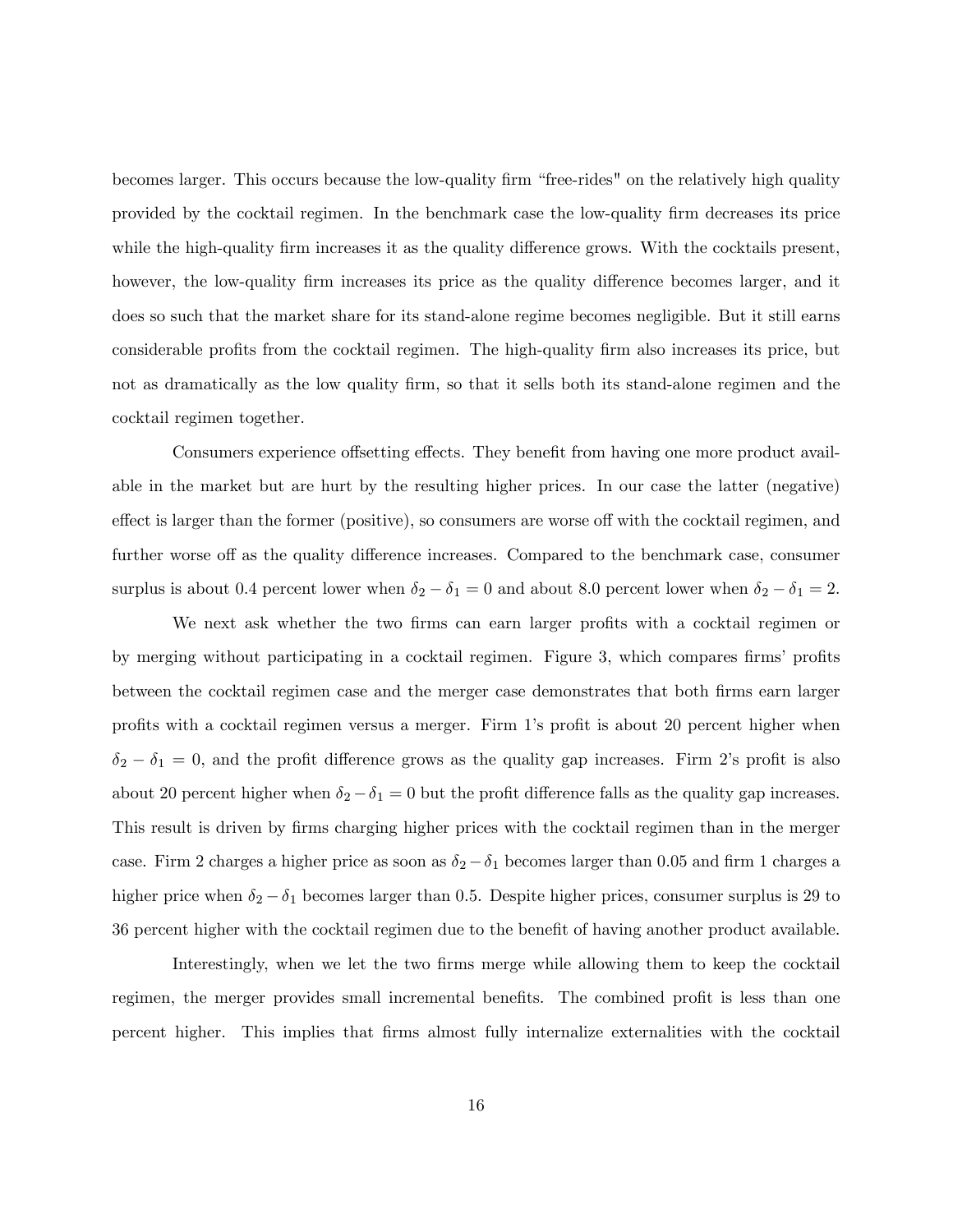becomes larger. This occurs because the low-quality firm "free-rides" on the relatively high quality provided by the cocktail regimen. In the benchmark case the low-quality Örm decreases its price while the high-quality firm increases it as the quality difference grows. With the cocktails present, however, the low-quality firm increases its price as the quality difference becomes larger, and it does so such that the market share for its stand-alone regime becomes negligible. But it still earns considerable profits from the cocktail regimen. The high-quality firm also increases its price, but not as dramatically as the low quality firm, so that it sells both its stand-alone regimen and the cocktail regimen together.

Consumers experience offsetting effects. They benefit from having one more product available in the market but are hurt by the resulting higher prices. In our case the latter (negative) effect is larger than the former (positive), so consumers are worse off with the cocktail regimen, and further worse off as the quality difference increases. Compared to the benchmark case, consumer surplus is about 0.4 percent lower when  $\delta_2 - \delta_1 = 0$  and about 8.0 percent lower when  $\delta_2 - \delta_1 = 2$ .

We next ask whether the two firms can earn larger profits with a cocktail regimen or by merging without participating in a cocktail regimen. Figure 3, which compares firms' profits between the cocktail regimen case and the merger case demonstrates that both firms earn larger profits with a cocktail regimen versus a merger. Firm 1's profit is about 20 percent higher when  $\delta_2 - \delta_1 = 0$ , and the profit difference grows as the quality gap increases. Firm 2's profit is also about 20 percent higher when  $\delta_2 - \delta_1 = 0$  but the profit difference falls as the quality gap increases. This result is driven by firms charging higher prices with the cocktail regimen than in the merger case. Firm 2 charges a higher price as soon as  $\delta_2 - \delta_1$  becomes larger than 0.05 and firm 1 charges a higher price when  $\delta_2 - \delta_1$  becomes larger than 0.5. Despite higher prices, consumer surplus is 29 to 36 percent higher with the cocktail regimen due to the benefit of having another product available.

Interestingly, when we let the two firms merge while allowing them to keep the cocktail regimen, the merger provides small incremental benefits. The combined profit is less than one percent higher. This implies that Örms almost fully internalize externalities with the cocktail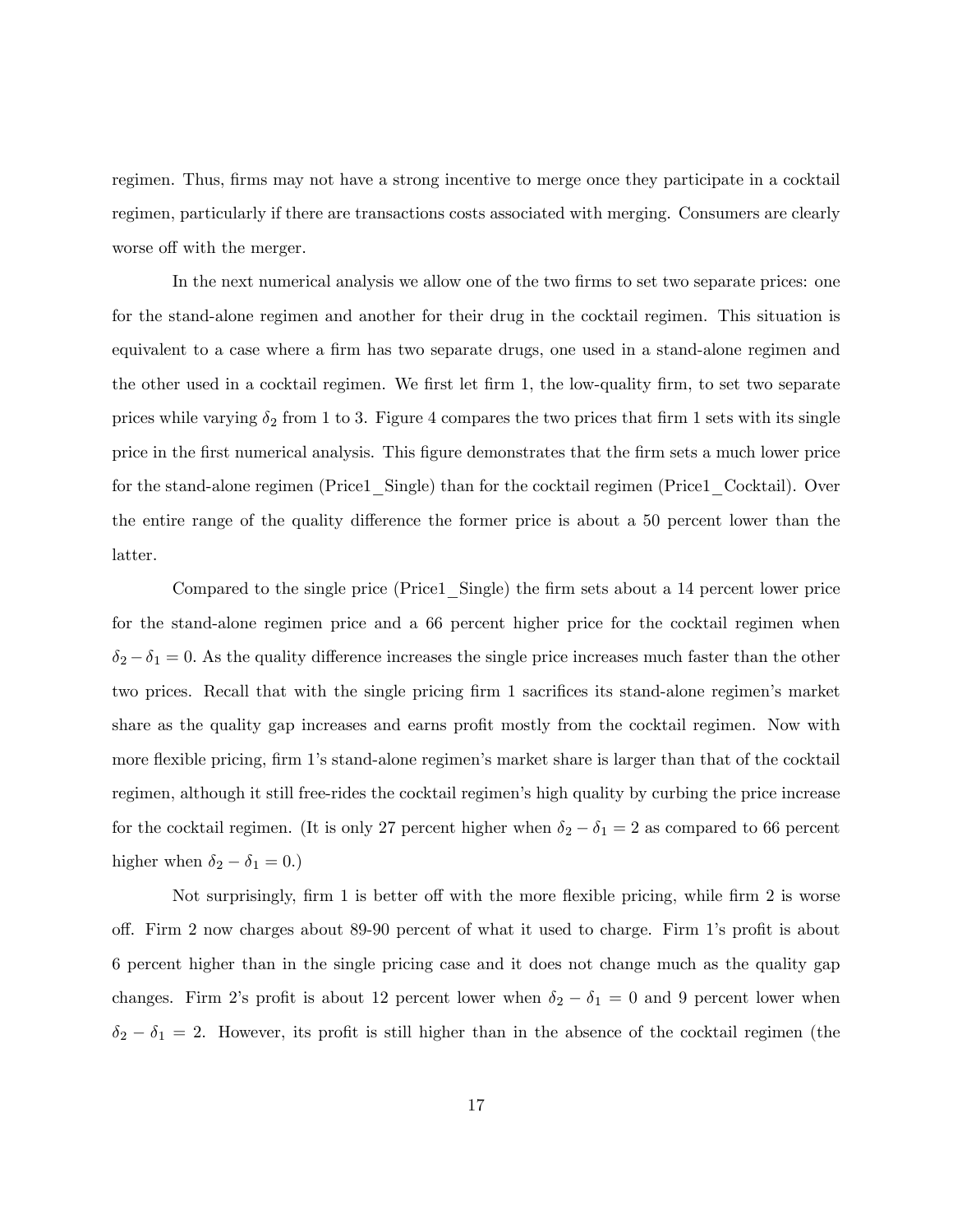regimen. Thus, firms may not have a strong incentive to merge once they participate in a cocktail regimen, particularly if there are transactions costs associated with merging. Consumers are clearly worse off with the merger.

In the next numerical analysis we allow one of the two firms to set two separate prices: one for the stand-alone regimen and another for their drug in the cocktail regimen. This situation is equivalent to a case where a firm has two separate drugs, one used in a stand-alone regimen and the other used in a cocktail regimen. We first let firm 1, the low-quality firm, to set two separate prices while varying  $\delta_2$  from 1 to 3. Figure 4 compares the two prices that firm 1 sets with its single price in the Örst numerical analysis. This Ögure demonstrates that the Örm sets a much lower price for the stand-alone regimen (Price1\_Single) than for the cocktail regimen (Price1\_Cocktail). Over the entire range of the quality difference the former price is about a 50 percent lower than the latter.

Compared to the single price (Price1 Single) the firm sets about a 14 percent lower price for the stand-alone regimen price and a 66 percent higher price for the cocktail regimen when  $\delta_2 - \delta_1 = 0$ . As the quality difference increases the single price increases much faster than the other two prices. Recall that with the single pricing firm 1 sacrifices its stand-alone regimen's market share as the quality gap increases and earns profit mostly from the cocktail regimen. Now with more flexible pricing, firm 1's stand-alone regimen's market share is larger than that of the cocktail regimen, although it still free-rides the cocktail regimenís high quality by curbing the price increase for the cocktail regimen. (It is only 27 percent higher when  $\delta_2 - \delta_1 = 2$  as compared to 66 percent higher when  $\delta_2 - \delta_1 = 0.)$ 

Not surprisingly, firm 1 is better off with the more flexible pricing, while firm 2 is worse off. Firm 2 now charges about 89-90 percent of what it used to charge. Firm 1's profit is about 6 percent higher than in the single pricing case and it does not change much as the quality gap changes. Firm 2's profit is about 12 percent lower when  $\delta_2 - \delta_1 = 0$  and 9 percent lower when  $\delta_2 - \delta_1 = 2$ . However, its profit is still higher than in the absence of the cocktail regimen (the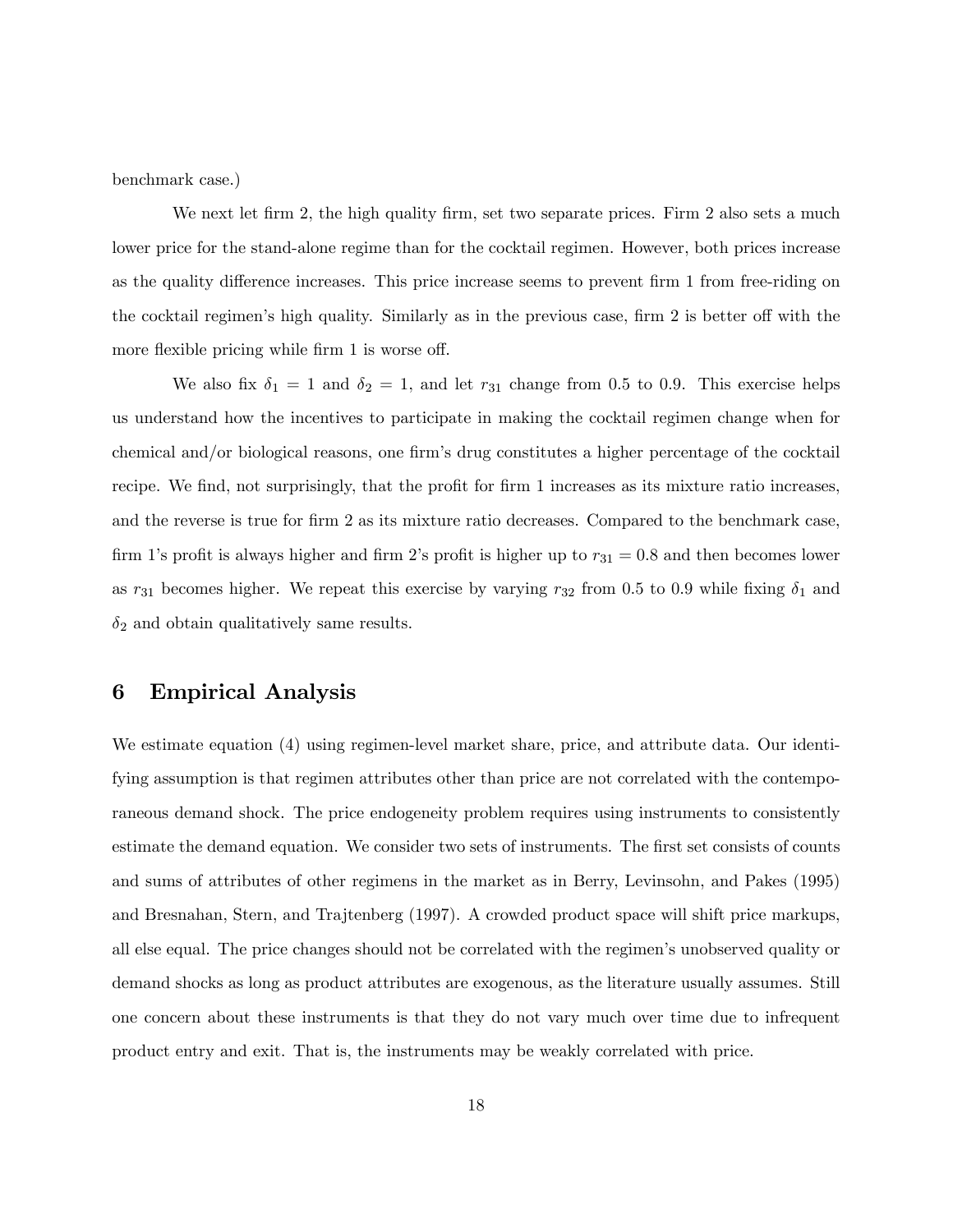benchmark case.)

We next let firm 2, the high quality firm, set two separate prices. Firm 2 also sets a much lower price for the stand-alone regime than for the cocktail regimen. However, both prices increase as the quality difference increases. This price increase seems to prevent firm 1 from free-riding on the cocktail regimen's high quality. Similarly as in the previous case, firm 2 is better off with the more flexible pricing while firm 1 is worse off.

We also fix  $\delta_1 = 1$  and  $\delta_2 = 1$ , and let  $r_{31}$  change from 0.5 to 0.9. This exercise helps us understand how the incentives to participate in making the cocktail regimen change when for chemical and/or biological reasons, one firm's drug constitutes a higher percentage of the cocktail recipe. We find, not surprisingly, that the profit for firm 1 increases as its mixture ratio increases, and the reverse is true for firm 2 as its mixture ratio decreases. Compared to the benchmark case, firm 1's profit is always higher and firm 2's profit is higher up to  $r_{31} = 0.8$  and then becomes lower as  $r_{31}$  becomes higher. We repeat this exercise by varying  $r_{32}$  from 0.5 to 0.9 while fixing  $\delta_1$  and  $\delta_2$  and obtain qualitatively same results.

### 6 Empirical Analysis

We estimate equation (4) using regimen-level market share, price, and attribute data. Our identifying assumption is that regimen attributes other than price are not correlated with the contemporaneous demand shock. The price endogeneity problem requires using instruments to consistently estimate the demand equation. We consider two sets of instruments. The first set consists of counts and sums of attributes of other regimens in the market as in Berry, Levinsohn, and Pakes (1995) and Bresnahan, Stern, and Trajtenberg (1997). A crowded product space will shift price markups, all else equal. The price changes should not be correlated with the regimenís unobserved quality or demand shocks as long as product attributes are exogenous, as the literature usually assumes. Still one concern about these instruments is that they do not vary much over time due to infrequent product entry and exit. That is, the instruments may be weakly correlated with price.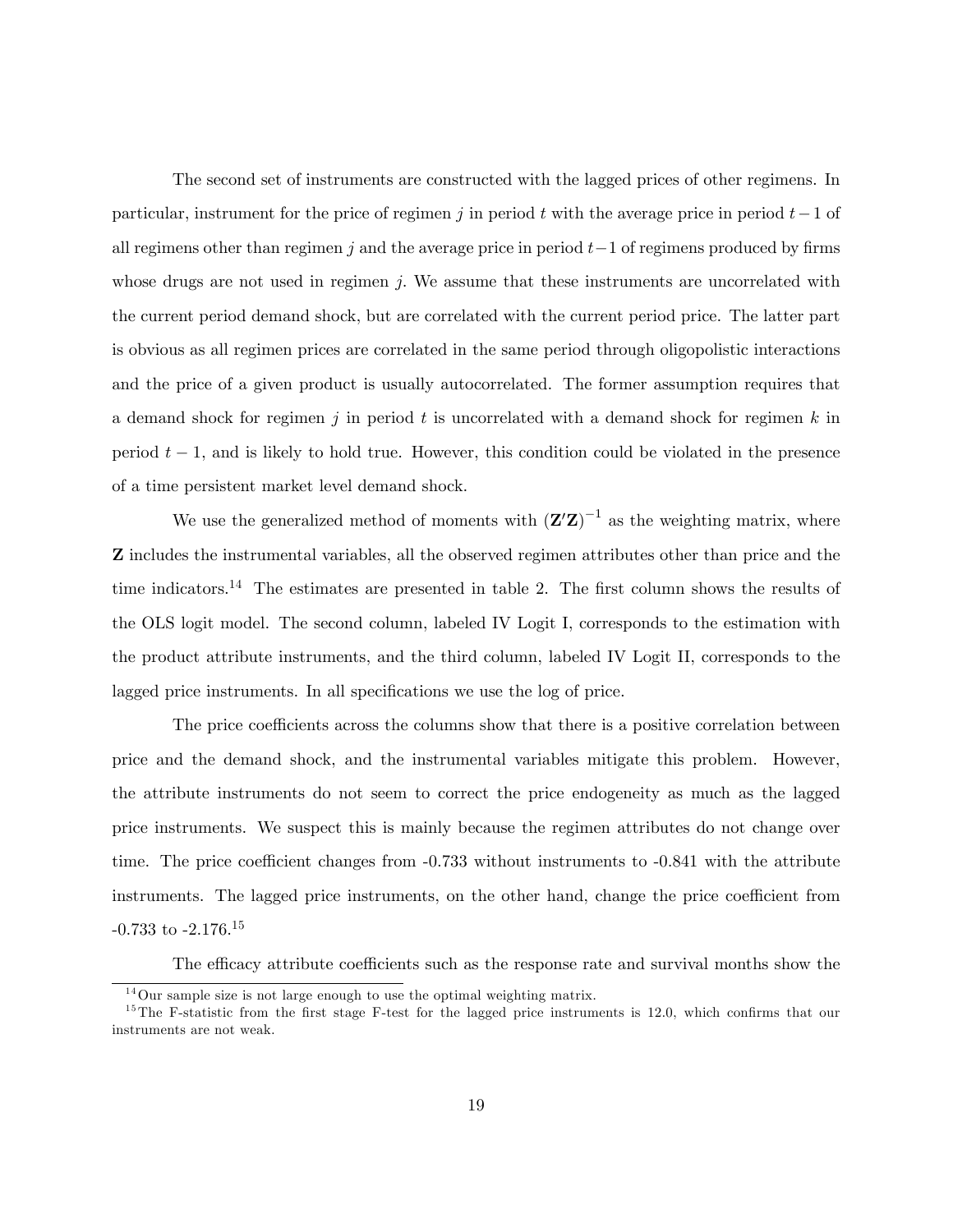The second set of instruments are constructed with the lagged prices of other regimens. In particular, instrument for the price of regimen j in period t with the average price in period  $t-1$  of all regimens other than regimen j and the average price in period  $t-1$  of regimens produced by firms whose drugs are not used in regimen  $j$ . We assume that these instruments are uncorrelated with the current period demand shock, but are correlated with the current period price. The latter part is obvious as all regimen prices are correlated in the same period through oligopolistic interactions and the price of a given product is usually autocorrelated. The former assumption requires that a demand shock for regimen j in period t is uncorrelated with a demand shock for regimen  $k$  in period  $t - 1$ , and is likely to hold true. However, this condition could be violated in the presence of a time persistent market level demand shock.

We use the generalized method of moments with  $(\mathbf{Z}'\mathbf{Z})^{-1}$  as the weighting matrix, where Z includes the instrumental variables, all the observed regimen attributes other than price and the time indicators.<sup>14</sup> The estimates are presented in table 2. The first column shows the results of the OLS logit model. The second column, labeled IV Logit I, corresponds to the estimation with the product attribute instruments, and the third column, labeled IV Logit II, corresponds to the lagged price instruments. In all specifications we use the log of price.

The price coefficients across the columns show that there is a positive correlation between price and the demand shock, and the instrumental variables mitigate this problem. However, the attribute instruments do not seem to correct the price endogeneity as much as the lagged price instruments. We suspect this is mainly because the regimen attributes do not change over time. The price coefficient changes from  $-0.733$  without instruments to  $-0.841$  with the attribute instruments. The lagged price instruments, on the other hand, change the price coefficient from -0.733 to -2.176.<sup>15</sup>

The efficacy attribute coefficients such as the response rate and survival months show the

 $14\,\text{Our sample size}$  is not large enough to use the optimal weighting matrix.

 $15$ The F-statistic from the first stage F-test for the lagged price instruments is 12.0, which confirms that our instruments are not weak.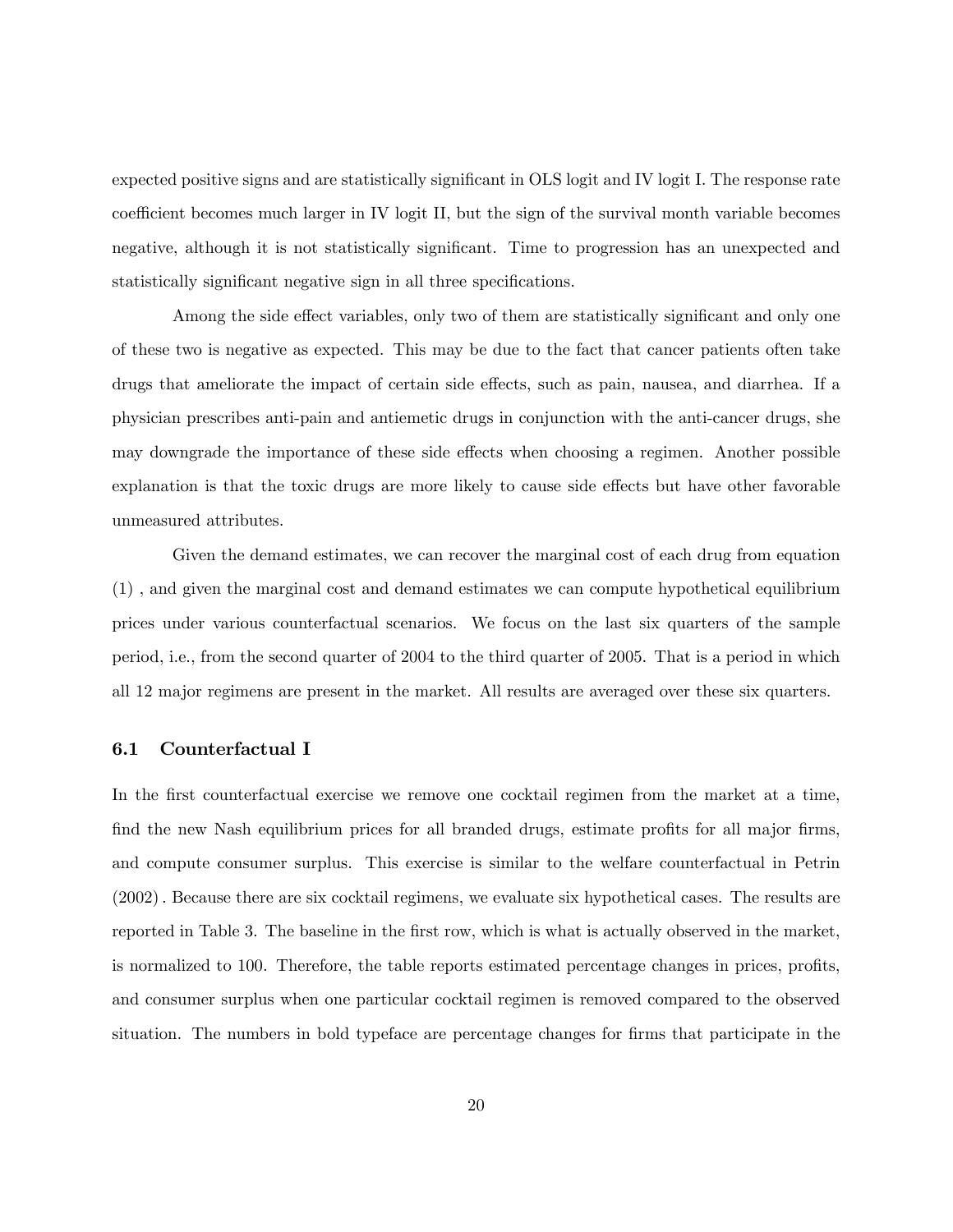expected positive signs and are statistically significant in OLS logit and IV logit I. The response rate coefficient becomes much larger in IV logit II, but the sign of the survival month variable becomes negative, although it is not statistically significant. Time to progression has an unexpected and statistically significant negative sign in all three specifications.

Among the side effect variables, only two of them are statistically significant and only one of these two is negative as expected. This may be due to the fact that cancer patients often take drugs that ameliorate the impact of certain side effects, such as pain, nausea, and diarrhea. If a physician prescribes anti-pain and antiemetic drugs in conjunction with the anti-cancer drugs, she may downgrade the importance of these side effects when choosing a regimen. Another possible explanation is that the toxic drugs are more likely to cause side effects but have other favorable unmeasured attributes.

Given the demand estimates, we can recover the marginal cost of each drug from equation (1) , and given the marginal cost and demand estimates we can compute hypothetical equilibrium prices under various counterfactual scenarios. We focus on the last six quarters of the sample period, i.e., from the second quarter of 2004 to the third quarter of 2005. That is a period in which all 12 major regimens are present in the market. All results are averaged over these six quarters.

#### 6.1 Counterfactual I

In the first counterfactual exercise we remove one cocktail regimen from the market at a time, find the new Nash equilibrium prices for all branded drugs, estimate profits for all major firms, and compute consumer surplus. This exercise is similar to the welfare counterfactual in Petrin (2002): Because there are six cocktail regimens, we evaluate six hypothetical cases. The results are reported in Table 3. The baseline in the first row, which is what is actually observed in the market, is normalized to 100. Therefore, the table reports estimated percentage changes in prices, profits, and consumer surplus when one particular cocktail regimen is removed compared to the observed situation. The numbers in bold typeface are percentage changes for firms that participate in the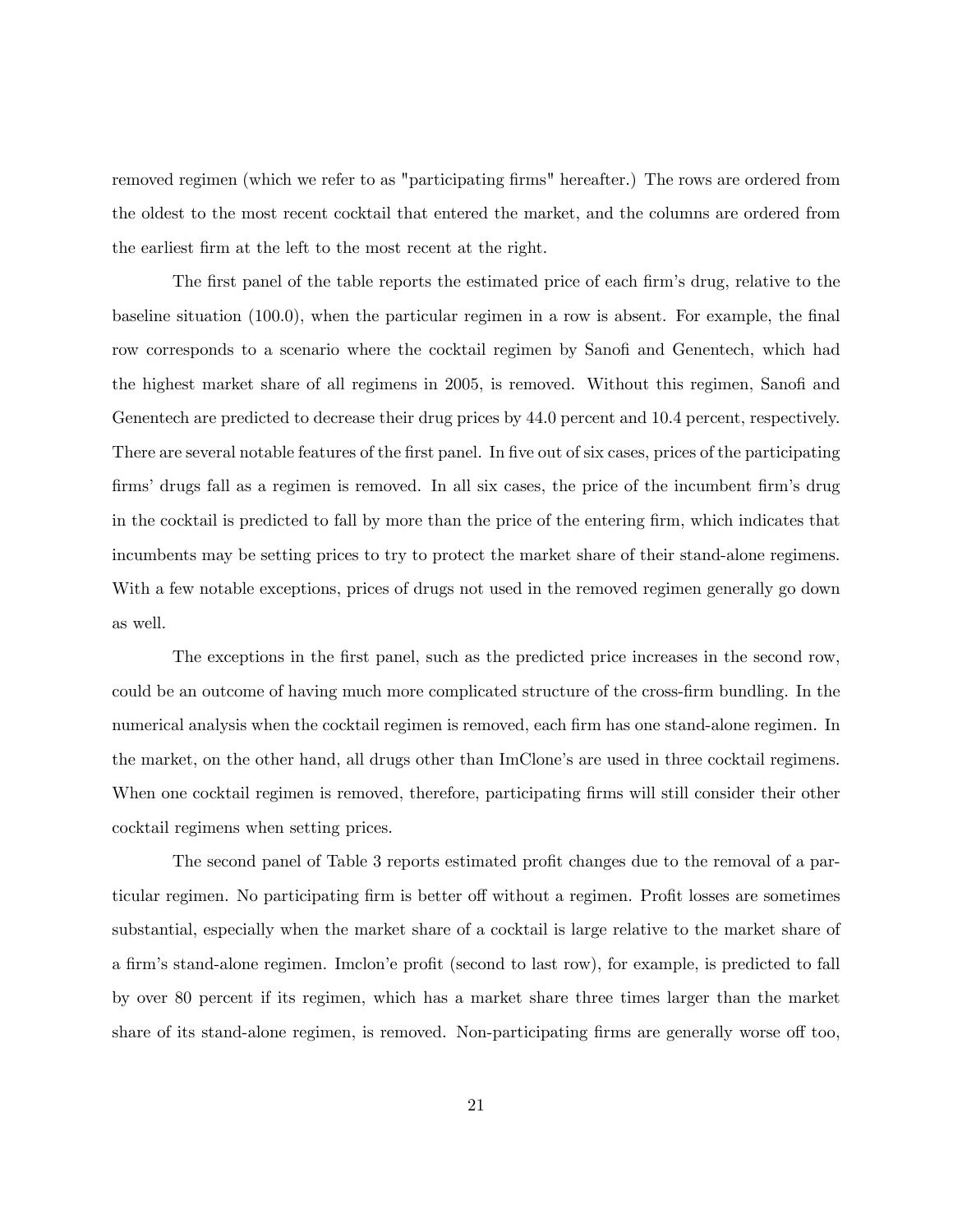removed regimen (which we refer to as "participating firms" hereafter.) The rows are ordered from the oldest to the most recent cocktail that entered the market, and the columns are ordered from the earliest Örm at the left to the most recent at the right.

The first panel of the table reports the estimated price of each firm's drug, relative to the baseline situation  $(100.0)$ , when the particular regimen in a row is absent. For example, the final row corresponds to a scenario where the cocktail regimen by Sanofi and Genentech, which had the highest market share of all regimens in 2005, is removed. Without this regimen, Sanofi and Genentech are predicted to decrease their drug prices by 44.0 percent and 10.4 percent, respectively. There are several notable features of the first panel. In five out of six cases, prices of the participating firms' drugs fall as a regimen is removed. In all six cases, the price of the incumbent firm's drug in the cocktail is predicted to fall by more than the price of the entering firm, which indicates that incumbents may be setting prices to try to protect the market share of their stand-alone regimens. With a few notable exceptions, prices of drugs not used in the removed regimen generally go down as well.

The exceptions in the first panel, such as the predicted price increases in the second row, could be an outcome of having much more complicated structure of the cross-Örm bundling. In the numerical analysis when the cocktail regimen is removed, each firm has one stand-alone regimen. In the market, on the other hand, all drugs other than ImClone's are used in three cocktail regimens. When one cocktail regimen is removed, therefore, participating firms will still consider their other cocktail regimens when setting prices.

The second panel of Table 3 reports estimated profit changes due to the removal of a particular regimen. No participating firm is better off without a regimen. Profit losses are sometimes substantial, especially when the market share of a cocktail is large relative to the market share of a firm's stand-alone regimen. Imclon'e profit (second to last row), for example, is predicted to fall by over 80 percent if its regimen, which has a market share three times larger than the market share of its stand-alone regimen, is removed. Non-participating firms are generally worse off too,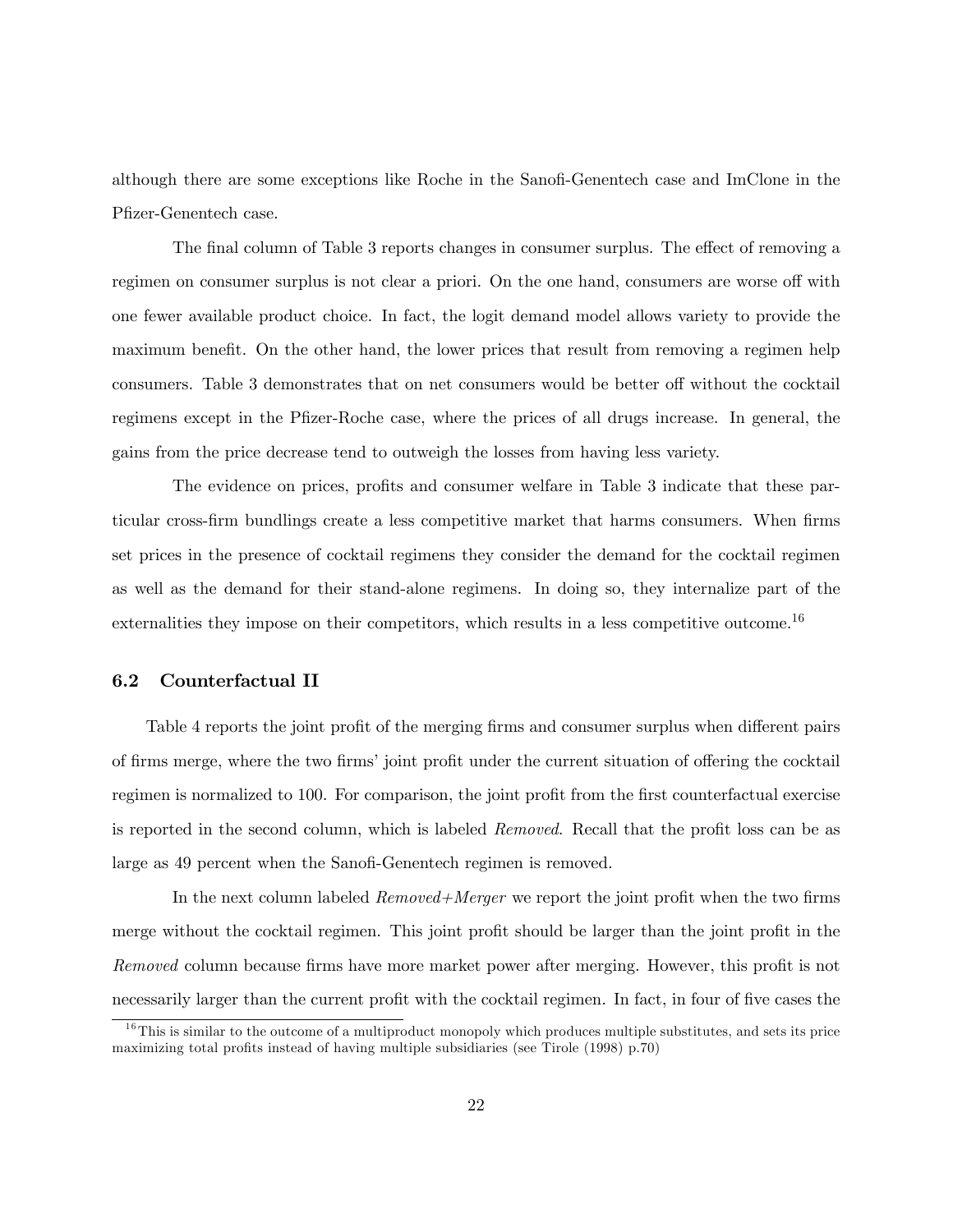although there are some exceptions like Roche in the Sanofi-Genentech case and ImClone in the Pfizer-Genentech case.

The final column of Table 3 reports changes in consumer surplus. The effect of removing a regimen on consumer surplus is not clear a priori. On the one hand, consumers are worse off with one fewer available product choice. In fact, the logit demand model allows variety to provide the maximum benefit. On the other hand, the lower prices that result from removing a regimen help consumers. Table 3 demonstrates that on net consumers would be better off without the cocktail regimens except in the Pfizer-Roche case, where the prices of all drugs increase. In general, the gains from the price decrease tend to outweigh the losses from having less variety.

The evidence on prices, profits and consumer welfare in Table 3 indicate that these particular cross-firm bundlings create a less competitive market that harms consumers. When firms set prices in the presence of cocktail regimens they consider the demand for the cocktail regimen as well as the demand for their stand-alone regimens. In doing so, they internalize part of the externalities they impose on their competitors, which results in a less competitive outcome.<sup>16</sup>

#### 6.2 Counterfactual II

Table 4 reports the joint profit of the merging firms and consumer surplus when different pairs of firms merge, where the two firms' joint profit under the current situation of offering the cocktail regimen is normalized to 100. For comparison, the joint profit from the first counterfactual exercise is reported in the second column, which is labeled Removed. Recall that the profit loss can be as large as 49 percent when the Sanofi-Genentech regimen is removed.

In the next column labeled  $Removeed+Merge$  we report the joint profit when the two firms merge without the cocktail regimen. This joint profit should be larger than the joint profit in the Removed column because firms have more market power after merging. However, this profit is not necessarily larger than the current profit with the cocktail regimen. In fact, in four of five cases the

 $16$ This is similar to the outcome of a multiproduct monopoly which produces multiple substitutes, and sets its price maximizing total profits instead of having multiple subsidiaries (see Tirole  $(1998)$  p.70)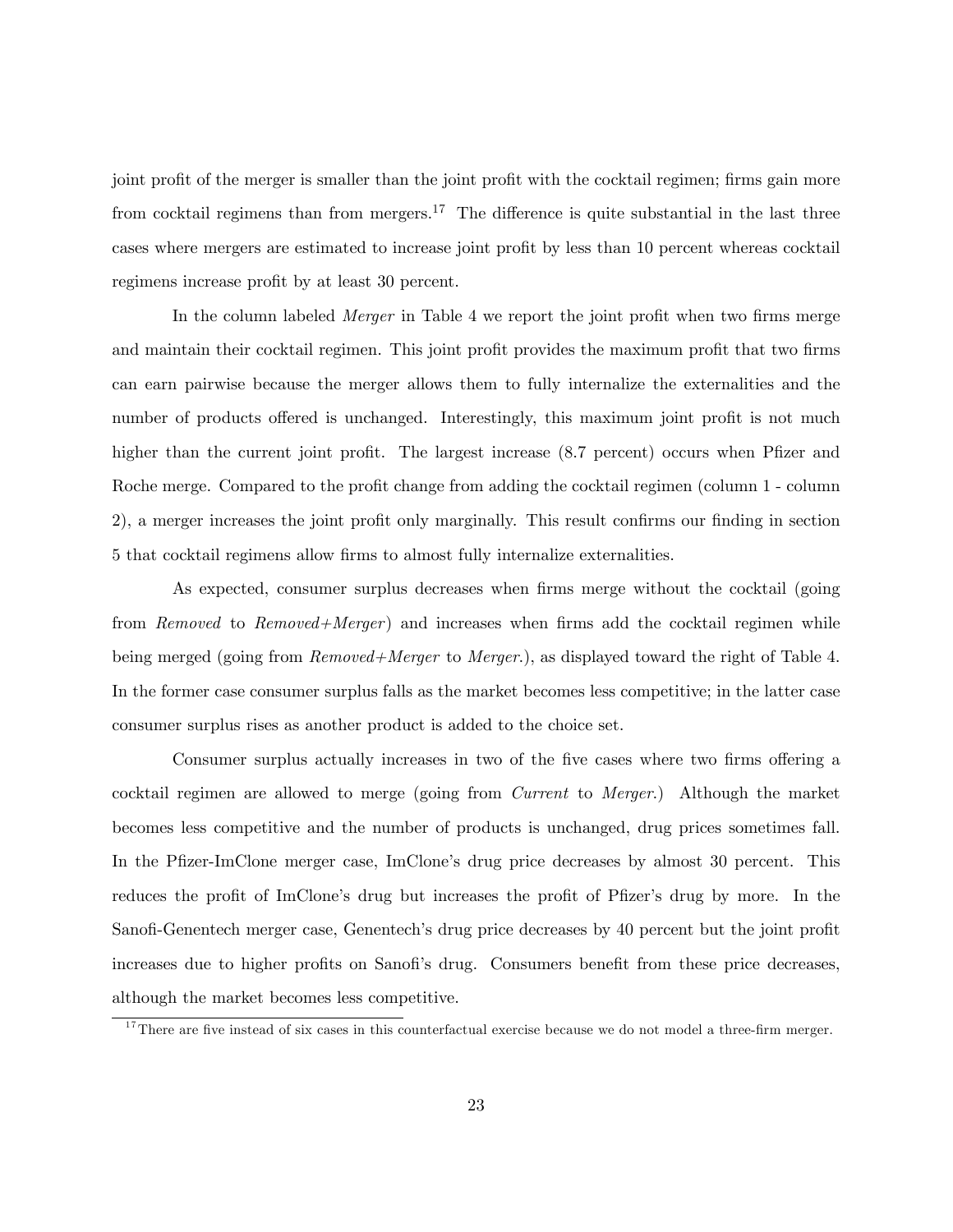joint profit of the merger is smaller than the joint profit with the cocktail regimen; firms gain more from cocktail regimens than from mergers.<sup>17</sup> The difference is quite substantial in the last three cases where mergers are estimated to increase joint profit by less than 10 percent whereas cocktail regimens increase profit by at least 30 percent.

In the column labeled *Merger* in Table 4 we report the joint profit when two firms merge and maintain their cocktail regimen. This joint profit provides the maximum profit that two firms can earn pairwise because the merger allows them to fully internalize the externalities and the number of products offered is unchanged. Interestingly, this maximum joint profit is not much higher than the current joint profit. The largest increase (8.7 percent) occurs when Pfizer and Roche merge. Compared to the profit change from adding the cocktail regimen (column 1 - column 2), a merger increases the joint profit only marginally. This result confirms our finding in section 5 that cocktail regimens allow Örms to almost fully internalize externalities.

As expected, consumer surplus decreases when firms merge without the cocktail (going from Removed to Removed+Merger) and increases when firms add the cocktail regimen while being merged (going from *Removed+Merger* to *Merger*.), as displayed toward the right of Table 4. In the former case consumer surplus falls as the market becomes less competitive; in the latter case consumer surplus rises as another product is added to the choice set.

Consumer surplus actually increases in two of the five cases where two firms offering a cocktail regimen are allowed to merge (going from Current to Merger.) Although the market becomes less competitive and the number of products is unchanged, drug prices sometimes fall. In the Pfizer-ImClone merger case, ImClone's drug price decreases by almost 30 percent. This reduces the profit of ImClone's drug but increases the profit of Pfizer's drug by more. In the Sanofi-Genentech merger case, Genentech's drug price decreases by 40 percent but the joint profit increases due to higher profits on Sanofi's drug. Consumers benefit from these price decreases, although the market becomes less competitive.

 $17$ There are five instead of six cases in this counterfactual exercise because we do not model a three-firm merger.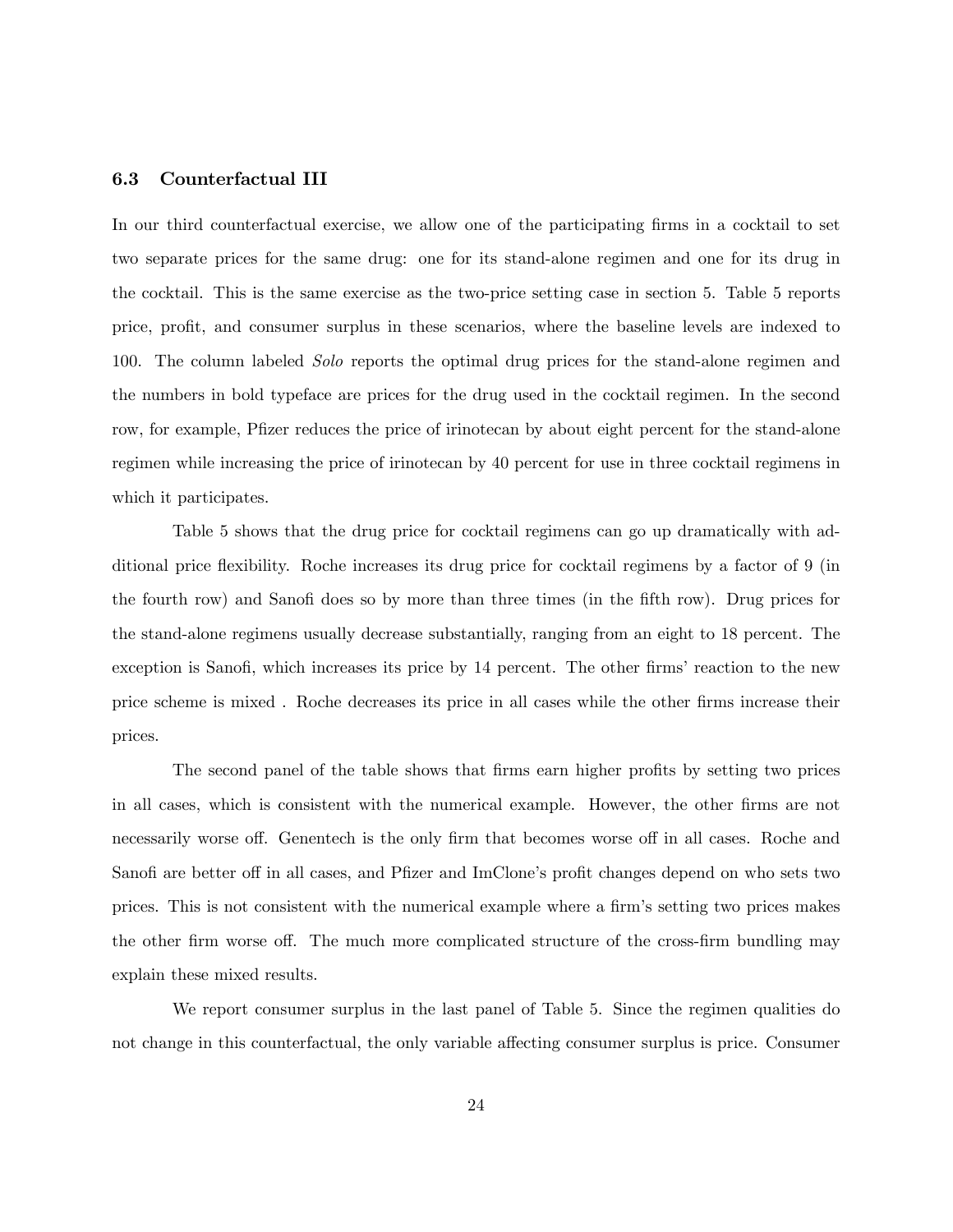#### 6.3 Counterfactual III

In our third counterfactual exercise, we allow one of the participating firms in a cocktail to set two separate prices for the same drug: one for its stand-alone regimen and one for its drug in the cocktail. This is the same exercise as the two-price setting case in section 5. Table 5 reports price, profit, and consumer surplus in these scenarios, where the baseline levels are indexed to 100. The column labeled Solo reports the optimal drug prices for the stand-alone regimen and the numbers in bold typeface are prices for the drug used in the cocktail regimen. In the second row, for example, Pfizer reduces the price of irinotecan by about eight percent for the stand-alone regimen while increasing the price of irinotecan by 40 percent for use in three cocktail regimens in which it participates.

Table 5 shows that the drug price for cocktail regimens can go up dramatically with additional price áexibility. Roche increases its drug price for cocktail regimens by a factor of 9 (in the fourth row) and Sanofi does so by more than three times (in the fifth row). Drug prices for the stand-alone regimens usually decrease substantially, ranging from an eight to 18 percent. The exception is Sanofi, which increases its price by 14 percent. The other firms' reaction to the new price scheme is mixed. Roche decreases its price in all cases while the other firms increase their prices.

The second panel of the table shows that firms earn higher profits by setting two prices in all cases, which is consistent with the numerical example. However, the other firms are not necessarily worse off. Genentech is the only firm that becomes worse off in all cases. Roche and Sanofi are better of in all cases, and Pfizer and ImClone's profit changes depend on who sets two prices. This is not consistent with the numerical example where a firm's setting two prices makes the other firm worse off. The much more complicated structure of the cross-firm bundling may explain these mixed results.

We report consumer surplus in the last panel of Table 5. Since the regimen qualities do not change in this counterfactual, the only variable affecting consumer surplus is price. Consumer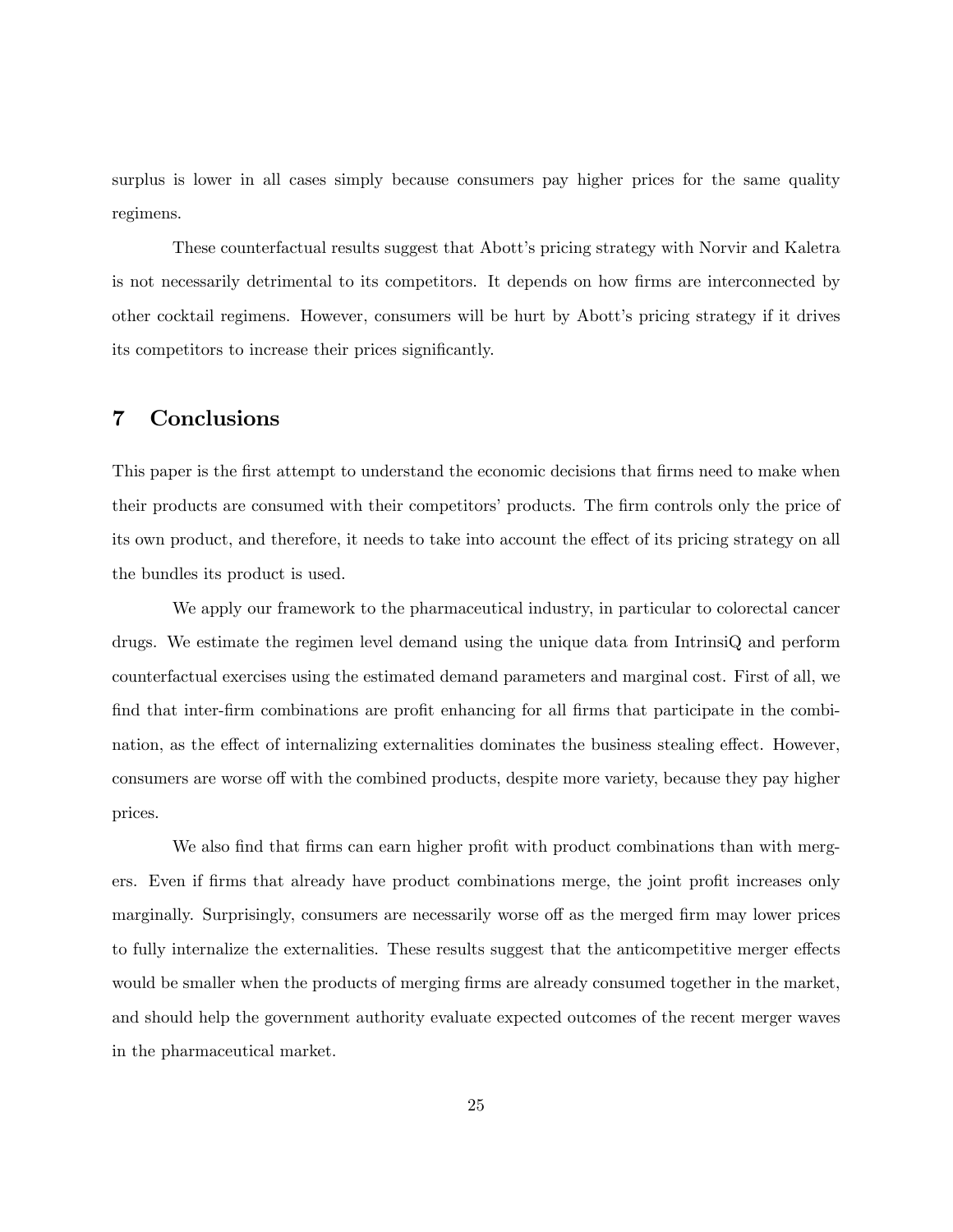surplus is lower in all cases simply because consumers pay higher prices for the same quality regimens.

These counterfactual results suggest that Abott's pricing strategy with Norvir and Kaletra is not necessarily detrimental to its competitors. It depends on how firms are interconnected by other cocktail regimens. However, consumers will be hurt by Abottís pricing strategy if it drives its competitors to increase their prices significantly.

## 7 Conclusions

This paper is the first attempt to understand the economic decisions that firms need to make when their products are consumed with their competitors' products. The firm controls only the price of its own product, and therefore, it needs to take into account the effect of its pricing strategy on all the bundles its product is used.

We apply our framework to the pharmaceutical industry, in particular to colorectal cancer drugs. We estimate the regimen level demand using the unique data from IntrinsiQ and perform counterfactual exercises using the estimated demand parameters and marginal cost. First of all, we find that inter-firm combinations are profit enhancing for all firms that participate in the combination, as the effect of internalizing externalities dominates the business stealing effect. However, consumers are worse off with the combined products, despite more variety, because they pay higher prices.

We also find that firms can earn higher profit with product combinations than with mergers. Even if firms that already have product combinations merge, the joint profit increases only marginally. Surprisingly, consumers are necessarily worse off as the merged firm may lower prices to fully internalize the externalities. These results suggest that the anticompetitive merger effects would be smaller when the products of merging firms are already consumed together in the market, and should help the government authority evaluate expected outcomes of the recent merger waves in the pharmaceutical market.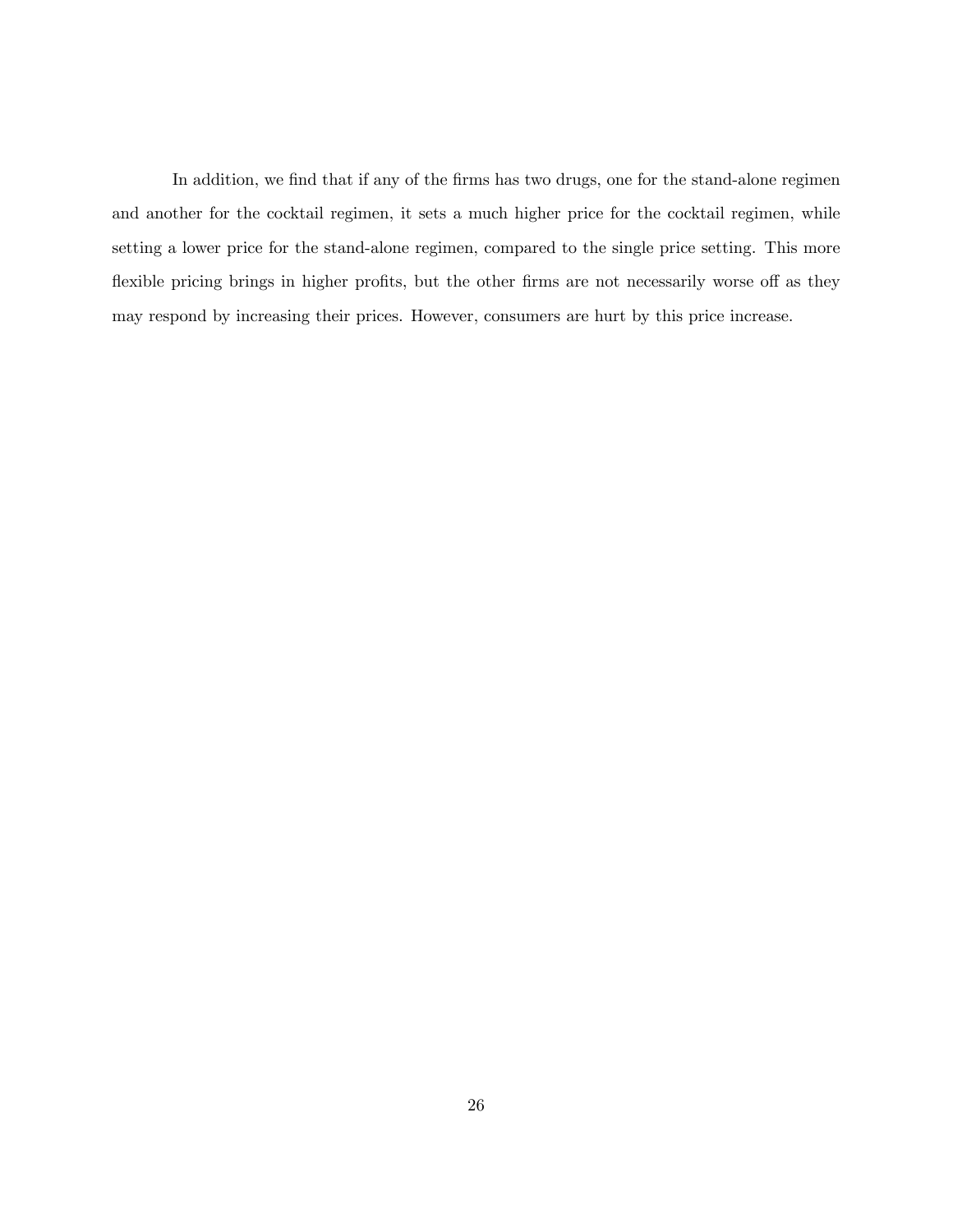In addition, we find that if any of the firms has two drugs, one for the stand-alone regimen and another for the cocktail regimen, it sets a much higher price for the cocktail regimen, while setting a lower price for the stand-alone regimen, compared to the single price setting. This more flexible pricing brings in higher profits, but the other firms are not necessarily worse off as they may respond by increasing their prices. However, consumers are hurt by this price increase.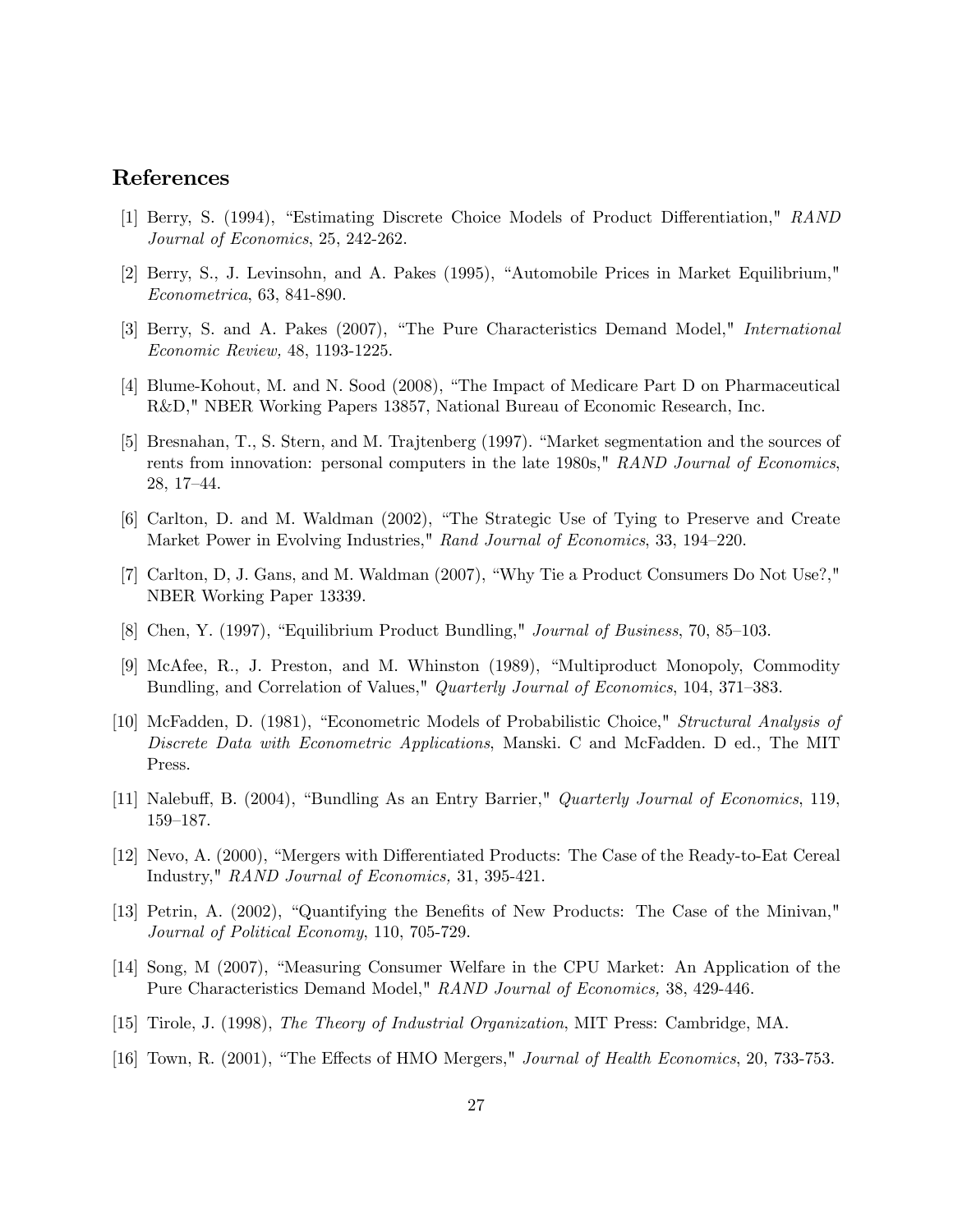# References

- [1] Berry, S. (1994), "Estimating Discrete Choice Models of Product Differentiation," RAND Journal of Economics, 25, 242-262.
- [2] Berry, S., J. Levinsohn, and A. Pakes (1995), "Automobile Prices in Market Equilibrium," Econometrica, 63, 841-890.
- [3] Berry, S. and A. Pakes (2007), "The Pure Characteristics Demand Model," *International* Economic Review, 48, 1193-1225.
- [4] Blume-Kohout, M. and N. Sood (2008), "The Impact of Medicare Part D on Pharmaceutical R&D," NBER Working Papers 13857, National Bureau of Economic Research, Inc.
- [5] Bresnahan, T., S. Stern, and M. Trajtenberg (1997). "Market segmentation and the sources of rents from innovation: personal computers in the late 1980s," RAND Journal of Economics.  $28, 17–44.$
- [6] Carlton, D. and M. Waldman (2002), "The Strategic Use of Tying to Preserve and Create Market Power in Evolving Industries," Rand Journal of Economics, 33, 194–220.
- [7] Carlton, D, J. Gans, and M. Waldman (2007), "Why Tie a Product Consumers Do Not Use?," NBER Working Paper 13339.
- [8] Chen, Y. (1997), "Equilibrium Product Bundling," *Journal of Business*, 70, 85–103.
- [9] McAfee, R., J. Preston, and M. Whinston (1989), "Multiproduct Monopoly, Commodity Bundling, and Correlation of Values," Quarterly Journal of Economics, 104, 371–383.
- [10] McFadden, D. (1981), "Econometric Models of Probabilistic Choice," *Structural Analysis of* Discrete Data with Econometric Applications, Manski. C and McFadden. D ed., The MIT Press.
- [11] Nalebuff, B. (2004), "Bundling As an Entry Barrier," *Quarterly Journal of Economics*, 119, 159–187.
- [12] Nevo, A. (2000), "Mergers with Differentiated Products: The Case of the Ready-to-Eat Cereal Industry," RAND Journal of Economics, 31, 395-421.
- [13] Petrin, A. (2002), "Quantifying the Benefits of New Products: The Case of the Minivan," Journal of Political Economy, 110, 705-729.
- [14] Song, M (2007), "Measuring Consumer Welfare in the CPU Market: An Application of the Pure Characteristics Demand Model," RAND Journal of Economics, 38, 429-446.
- [15] Tirole, J. (1998), The Theory of Industrial Organization, MIT Press: Cambridge, MA.
- [16] Town, R.  $(2001)$ , "The Effects of HMO Mergers," Journal of Health Economics, 20, 733-753.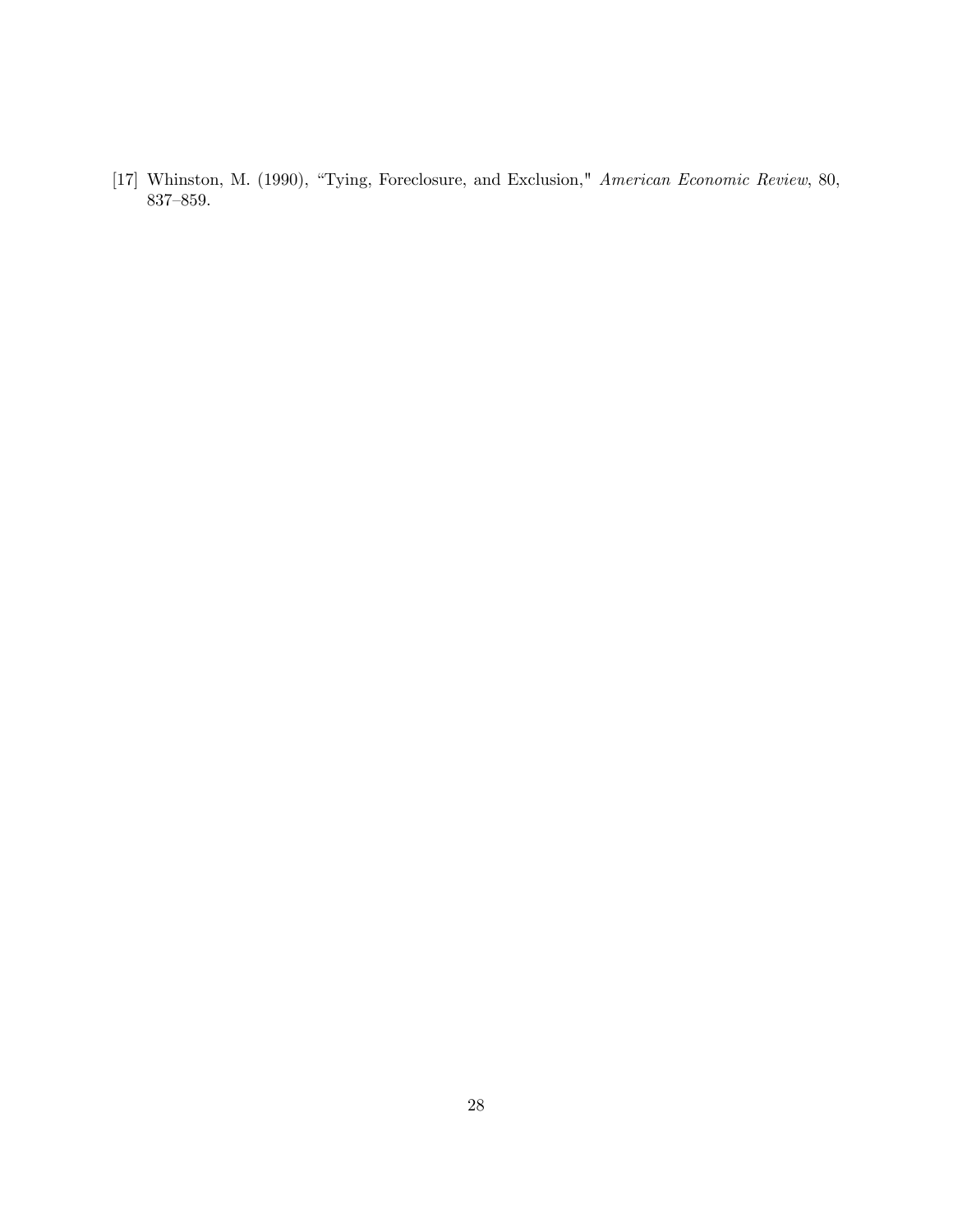[17] Whinston, M. (1990), "Tying, Foreclosure, and Exclusion," American Economic Review, 80,  $837 \hbox{--} 859.$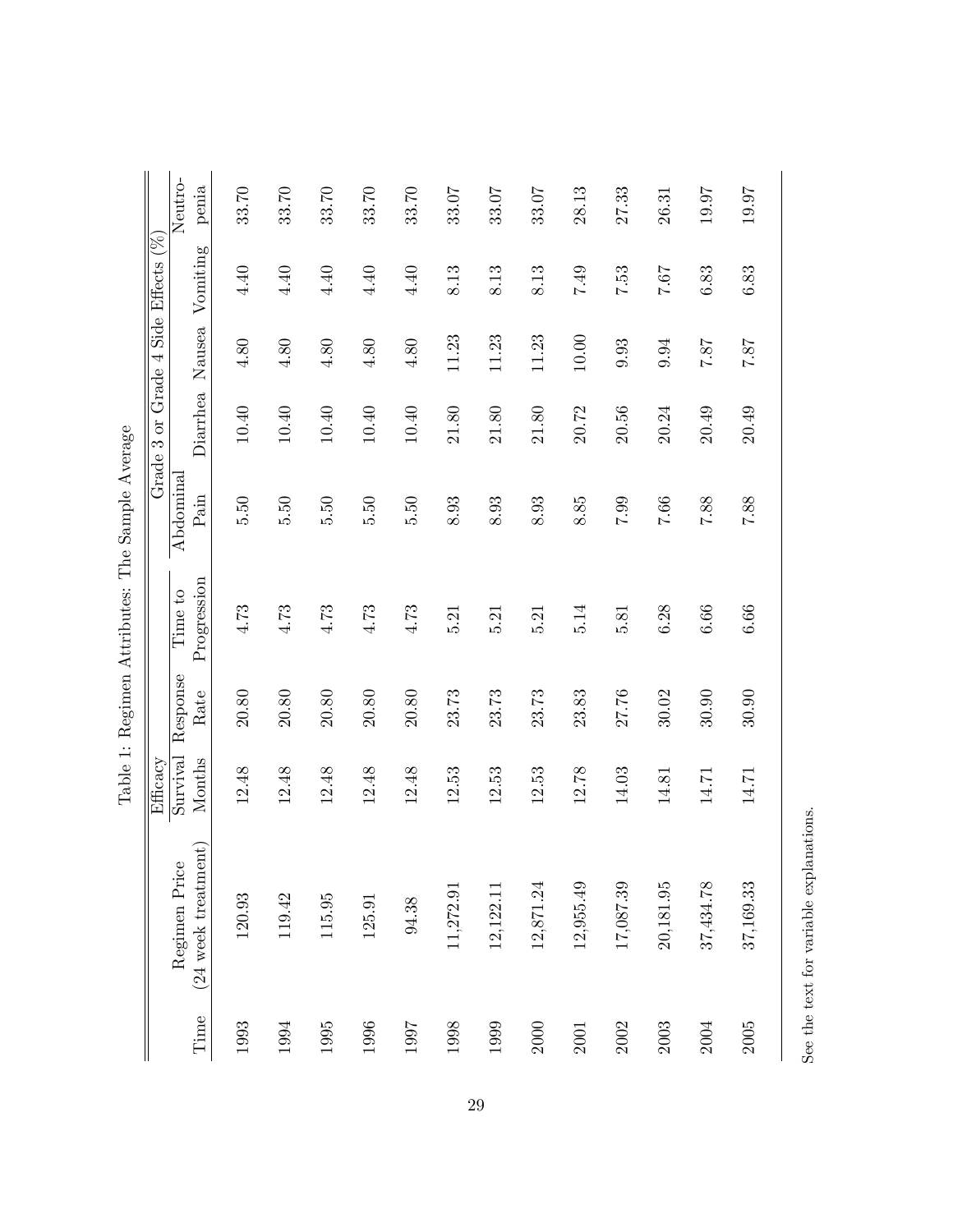|                                        |                    |                  |                        | able 1: negimen Attributes: 1 ne bample Average |              |           |                     |                  |
|----------------------------------------|--------------------|------------------|------------------------|-------------------------------------------------|--------------|-----------|---------------------|------------------|
|                                        | Efficacy           |                  |                        | Grade:                                          | 3 or Grade 4 |           | Side Effects $(\%)$ |                  |
| $(24$ week treatment)<br>Regimen Price | Survival<br>Months | Response<br>Rate | Progression<br>Time to | Abdominal<br>Pain                               | Diarrhea     | Nausea    | Vomiting            | Neutro-<br>penia |
|                                        |                    |                  |                        |                                                 |              |           |                     |                  |
| 120.93                                 | 12.48              | 20.80            | 4.73                   | 5.50                                            | 10.40        | 4.80      | $4.40\,$            | 33.70            |
| 119.42                                 | 12.48              | 20.80            | 4.73                   | $\overline{5.50}$                               | 10.40        | 4.80      | 4.40                | 33.70            |
| 115.95                                 | 12.48              | 20.80            | 4.73                   | 0.50                                            | 10.40        | 4.80      | 4.40                | 33.70            |
| 125.91                                 | 12.48              | 20.80            | 4.73                   | 5.50                                            | $10.40\,$    | $4.80$    | $4.40$              | 33.70            |
| 94.38                                  | 12.48              | 20.80            | 4.73                   | 5.50                                            | 10.40        | $4.80$    | 4.40                | 33.70            |
| 11,272.91                              | 12.53              | 23.73            | 5.21                   | $8.93\,$                                        | 21.80        | 11.23     | 8.13                | 33.07            |
| 12,122.11                              | 12.53              | 23.73            | 5.21                   | 8.93                                            | 21.80        | 11.23     | 8.13                | 33.07            |
| 12,871.24                              | 12.53              | 23.73            | 5.21                   | 8.93                                            | 21.80        | 11.23     | 8.13                | 33.07            |
| 12,955.49                              | 12.78              | 23.83            | 5.14                   | 8.85                                            | 20.72        | $10.00\,$ | 7.49                | 28.13            |
| 17,087.39                              | 14.03              | 27.76            | 5.81                   | 66.7                                            | 20.56        | 9.93      | 7.53                | 27.33            |
| 20,181.95                              | 14.81              | 30.02            | 6.28                   | 7.66                                            | 20.24        | 9.94      | 7.67                | 26.31            |
| 37,434.78                              | 14.71              | 30.90            | 6.66                   | 7.88                                            | 20.49        | 78.7      | $6.83\,$            | 19.97            |
| 37,169.33                              | 14.71              | 30.90            | 6.66                   | 7.88                                            | 20.49        | 78.7      | $6.83\,$            | 19.97            |
|                                        |                    |                  |                        |                                                 |              |           |                     |                  |

Table 1: Regimen Attributes: The Sample Average Table 1: Regimen Attributes: The Sample Average

See the text for variable explanations.

See the text for variable explanations.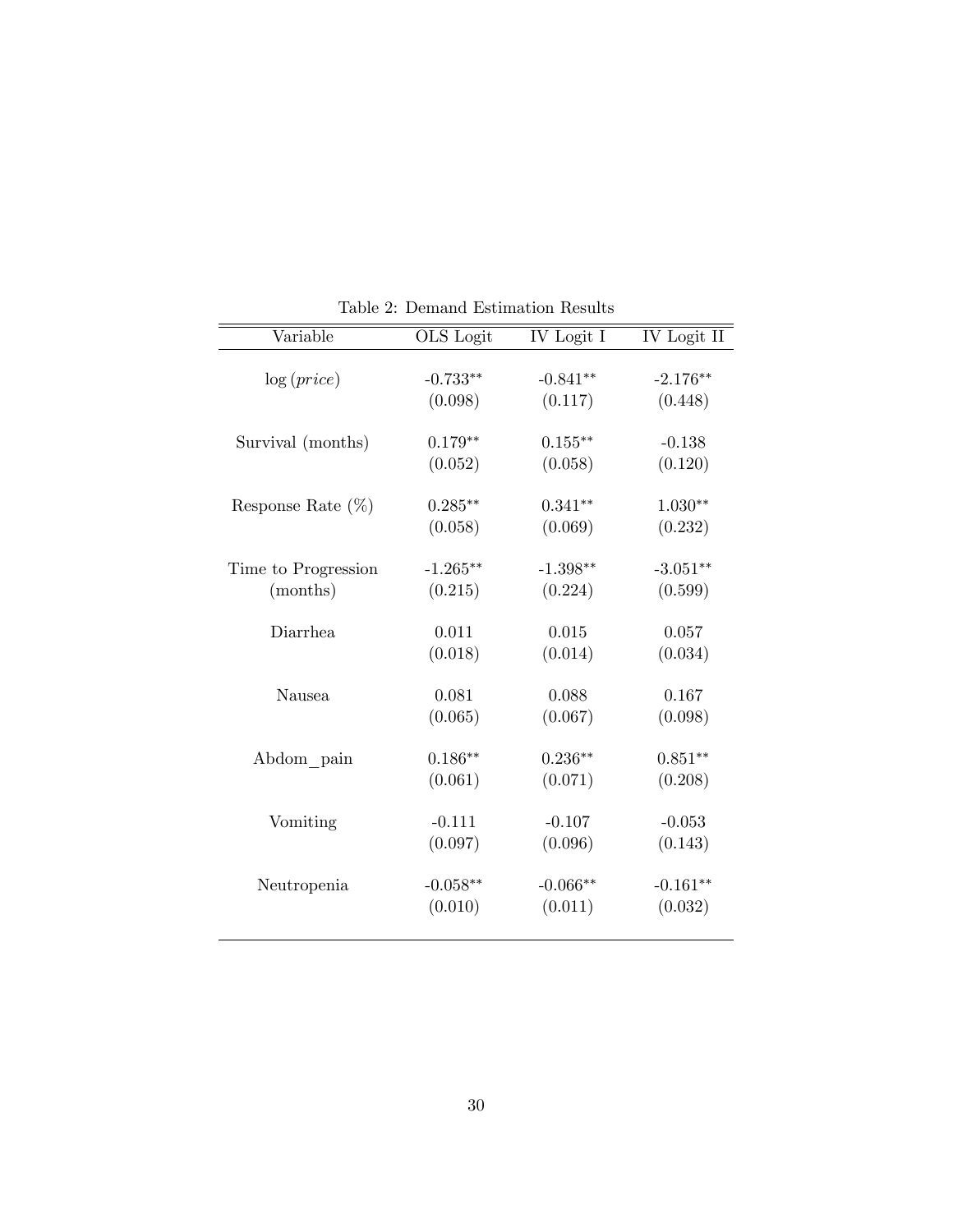| Variable             | OLS Logit   | IV Logit I | IV Logit II |
|----------------------|-------------|------------|-------------|
| log(price)           | $-0.733**$  | $-0.841**$ | $-2.176**$  |
|                      |             |            |             |
|                      | (0.098)     | (0.117)    | (0.448)     |
| Survival (months)    | $0.179**$   | $0.155***$ | $-0.138$    |
|                      | (0.052)     | (0.058)    | (0.120)     |
| Response Rate $(\%)$ | $0.285***$  | $0.341**$  | $1.030**$   |
|                      | (0.058)     | (0.069)    | (0.232)     |
| Time to Progression  | $-1.265***$ | $-1.398**$ | $-3.051**$  |
| (months)             | (0.215)     | (0.224)    | (0.599)     |
| Diarrhea             | 0.011       | 0.015      | 0.057       |
|                      | (0.018)     | (0.014)    | (0.034)     |
| Nausea               | 0.081       | 0.088      | 0.167       |
|                      | (0.065)     | (0.067)    | (0.098)     |
| Abdom pain           | $0.186**$   | $0.236**$  | $0.851**$   |
|                      | (0.061)     | (0.071)    | (0.208)     |
| Vomiting             | $-0.111$    | $-0.107$   | $-0.053$    |
|                      | (0.097)     | (0.096)    | (0.143)     |
| Neutropenia          | $-0.058**$  | $-0.066**$ | $-0.161**$  |
|                      | (0.010)     | (0.011)    | (0.032)     |

Table 2: Demand Estimation Results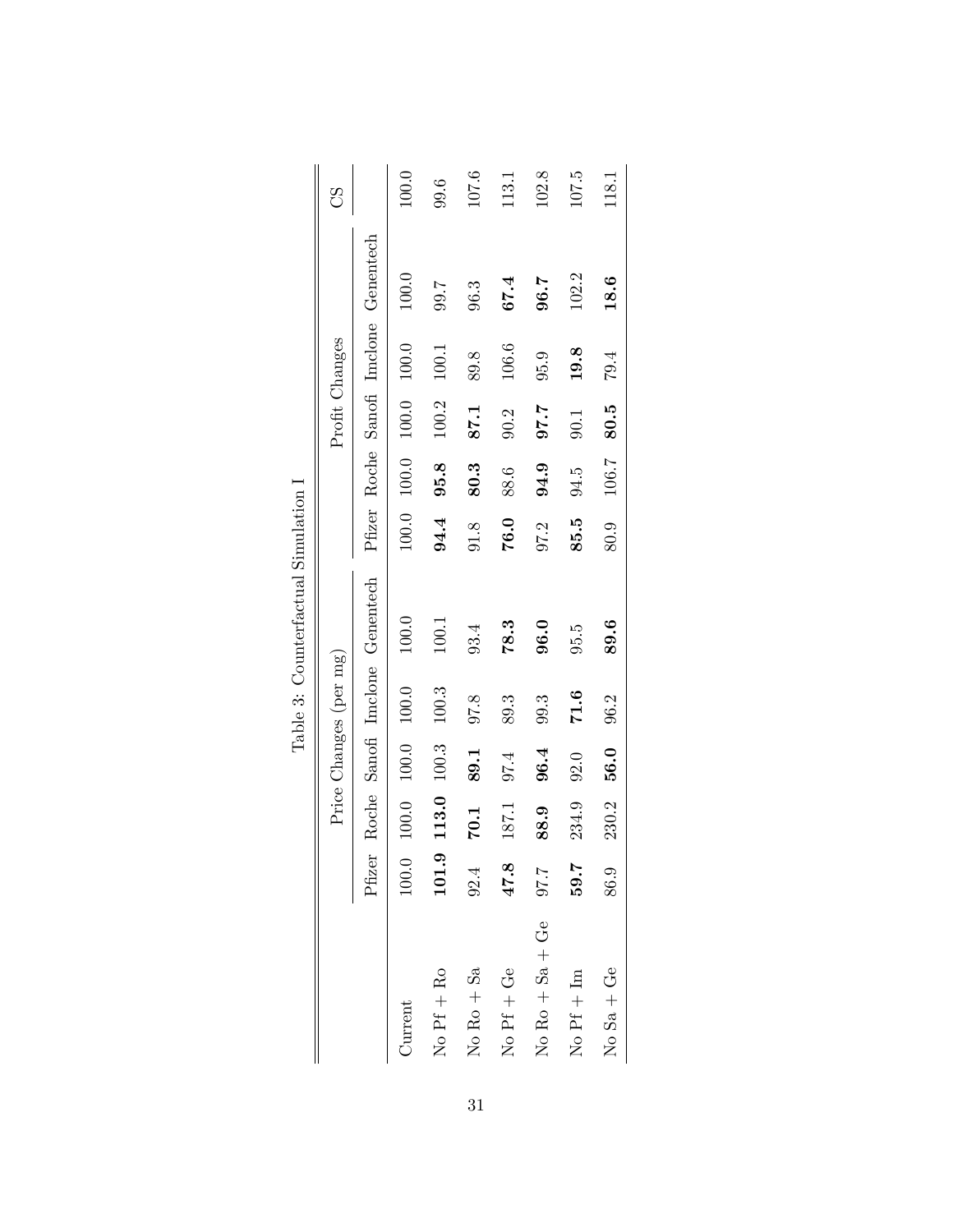|                                     |             |       |         | Price Changes (per mg) |                                |      |                     | Profit Changes |         |                                       | 8<br>C |
|-------------------------------------|-------------|-------|---------|------------------------|--------------------------------|------|---------------------|----------------|---------|---------------------------------------|--------|
|                                     | Pfizer      |       |         |                        | Roche Sanofi Imclone Genentech |      |                     |                |         | Pfizer Roche Sanofi Imclone Genentech |        |
| Current                             | 100.0       | 100.0 | 100.0   | $100.0$                | 100.0                          |      | $100.0$ 100.0 100.0 |                | 100.0   | 100.0                                 | 100.0  |
| $No$ Pf + Ro                        | 0.<br>101.5 | 113.0 | $100.3$ | $100.3$                | 100.1                          | 94.4 | 95.8                | 100.2          | $100.1$ | 7.66                                  | 9.6    |
| $No\ Ro + Sa$                       | 92.4        | 70.1  | 89.1    | 97.8                   | 93.4                           | 91.8 | 80.3                | 87.1           | 89.8    | 96.3                                  | 107.6  |
| No $Pf + Ge$                        | 47.8        | 187.1 | 07.4    | 89.3                   | 78.3                           | 76.0 | 88.6                | 90.2           | 106.6   | 67.4                                  | 113.1  |
| $No Ro + Sa + Ge$                   | 7.70        | 88.9  | 96.4    | 99.3                   | 96.0                           | 97.2 | 94.9                | 7.70           | 95.9    | 96.7                                  | 102.8  |
| $\overline{N}$ Pf + $\overline{Im}$ | 59.7        | 234.9 | 92.0    | 71.6                   | 95.5                           | 85.5 | 94.5                | 90.1           | 19.8    | 102.2                                 | 107.5  |
| $No$ Sa + Ge                        | 86.9        | 230.2 | 56.0    | 96.2                   | 89.6                           | 80.9 | 106.7               | 80.5           | 79.4    | 18.6                                  | 118.1  |

Table 3: Counterfactual Simulation  ${\cal I}$ Table 3: Counterfactual Simulation I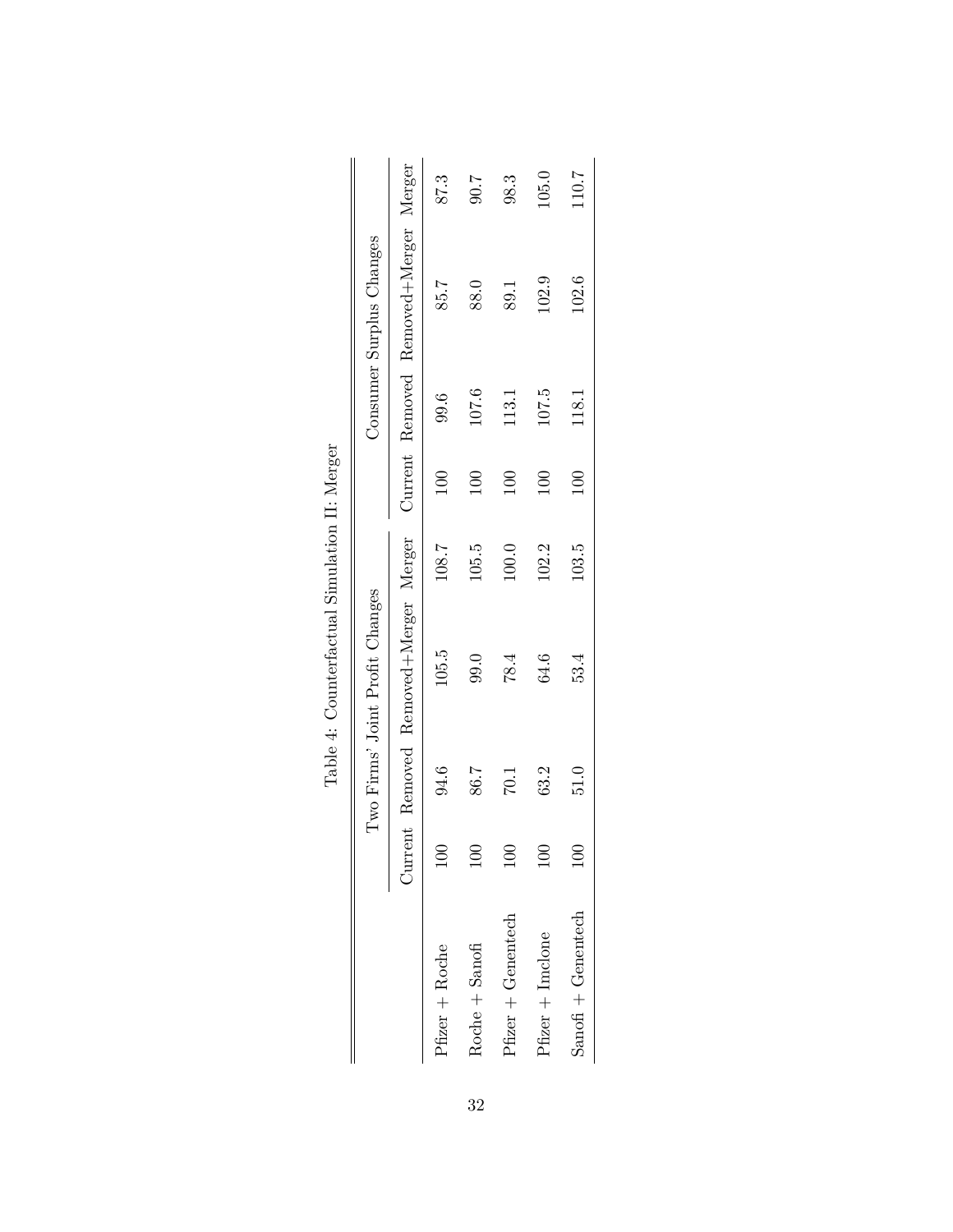|                    |      | Two Firms' Joint Profit Changes       |       |          |       | Consumer Surplus Changes              |       |
|--------------------|------|---------------------------------------|-------|----------|-------|---------------------------------------|-------|
|                    |      |                                       |       |          |       |                                       |       |
|                    |      | Current Removed Removed+Merger Merger |       |          |       | Current Removed Removed+Merger Merger |       |
| Pfizer + Roche     | 94.6 | $105.5$                               | 108.7 | 100      | 9.6   | 85.7                                  | 87.3  |
| Roche + Sanofi     | 86.7 | 99.0                                  | 105.5 | $\Xi$    | 107.6 | 88.0                                  | 7.06  |
| Pfizer + Genentech | 10.1 | 78.4                                  | 100.0 | $\Xi$    | 113.1 | 89.1                                  | 98.3  |
| $Pfizer + Indone$  | 63.2 | 64.6                                  | 102.2 | $^{100}$ | 107.5 | 102.9                                 | 105.0 |
| Sanofi + Genentech | 0.15 | 53.4                                  | 103.5 | $\Xi$    | 118.1 | 102.6                                 | 110.7 |
|                    |      |                                       |       |          |       |                                       |       |

| $\frac{1}{4}$<br>Į                                      |
|---------------------------------------------------------|
| i<br>ļ                                                  |
| $\frac{1}{2}$<br>ļ<br>$\sim$ 200 $\sim$ 200 $\sim$<br>i |
| ļ<br>$\sim$ $ \sim$ $   \sim$<br>j<br>j<br>ζ            |
| i                                                       |
| $\frac{1}{2}$<br>$\frac{1}{6}$<br>ĺ                     |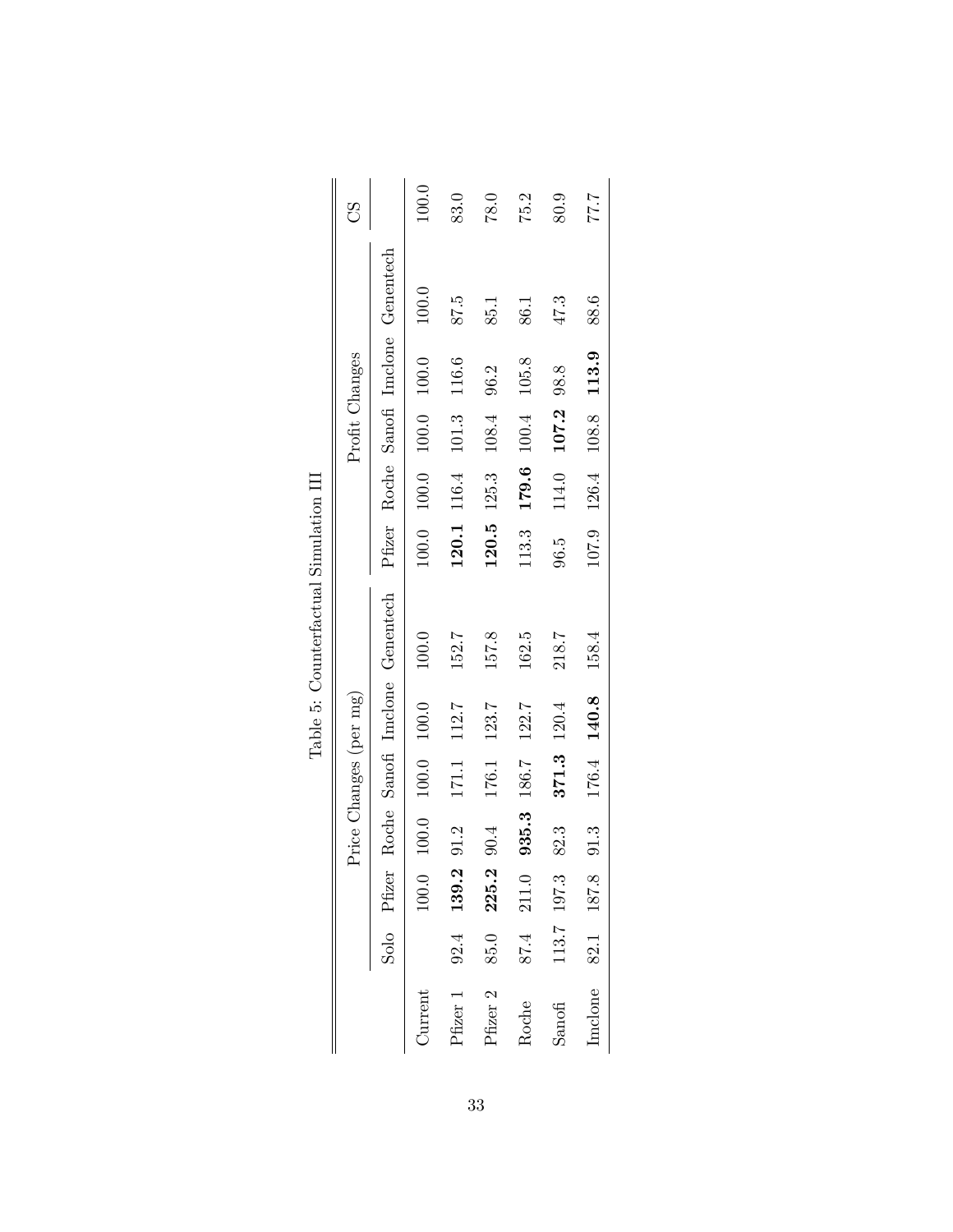|                       |      |             | Price Changes (per mg) |             |       |                                |       |                         | Profit Changes          |      |                                       | 8<br>C |
|-----------------------|------|-------------|------------------------|-------------|-------|--------------------------------|-------|-------------------------|-------------------------|------|---------------------------------------|--------|
|                       |      | Solo Pfizer |                        |             |       | Roche Sanofi Imclone Genentech |       |                         |                         |      | Pfizer Roche Sanofi Imclone Genentech |        |
| Current               |      | $100.0$     | 100.0                  | 100.0 100.0 |       | 100.0                          |       | 100.0 100.0 100.0 100.0 |                         |      | 100.0                                 | 100.0  |
| Pfizer 1 $92.4$ 139.2 |      |             | 91.2                   | 171.1       | 112.7 | 152.7                          |       | 120.1 116.4 101.3 116.6 |                         |      | 87.5                                  | 83.0   |
| Pfizer 2              | 85.0 | 225.2       | 90.4                   | 176.1       | 123.7 | 157.8                          |       | $120.5$ $125.3$ $108.4$ |                         | 96.2 | 85.1                                  | 78.0   |
| Roche                 | 87.4 | 211.0       | 935.3 186.7            |             | 122.7 | 162.5                          | 113.3 |                         | $179.6$ $100.4$ $105.8$ |      | 86.1                                  | 75.2   |
| Sanofi                |      | 113.7 197.3 | 82.3                   | 371.3 120.4 |       | 218.7                          | 96.5  | 114.0                   | 107.2 98.8              |      | 47.3                                  | 80.9   |
| Inclone               |      | 82.1 187.8  | 91.3                   | 176.4 140.8 |       | 158.4                          |       | 107.9 126.4             | 108.8 113.9             |      | 88.6                                  | 77.7   |

Table 5: Counterfactual Simulation III Table 5: Counterfactual Simulation III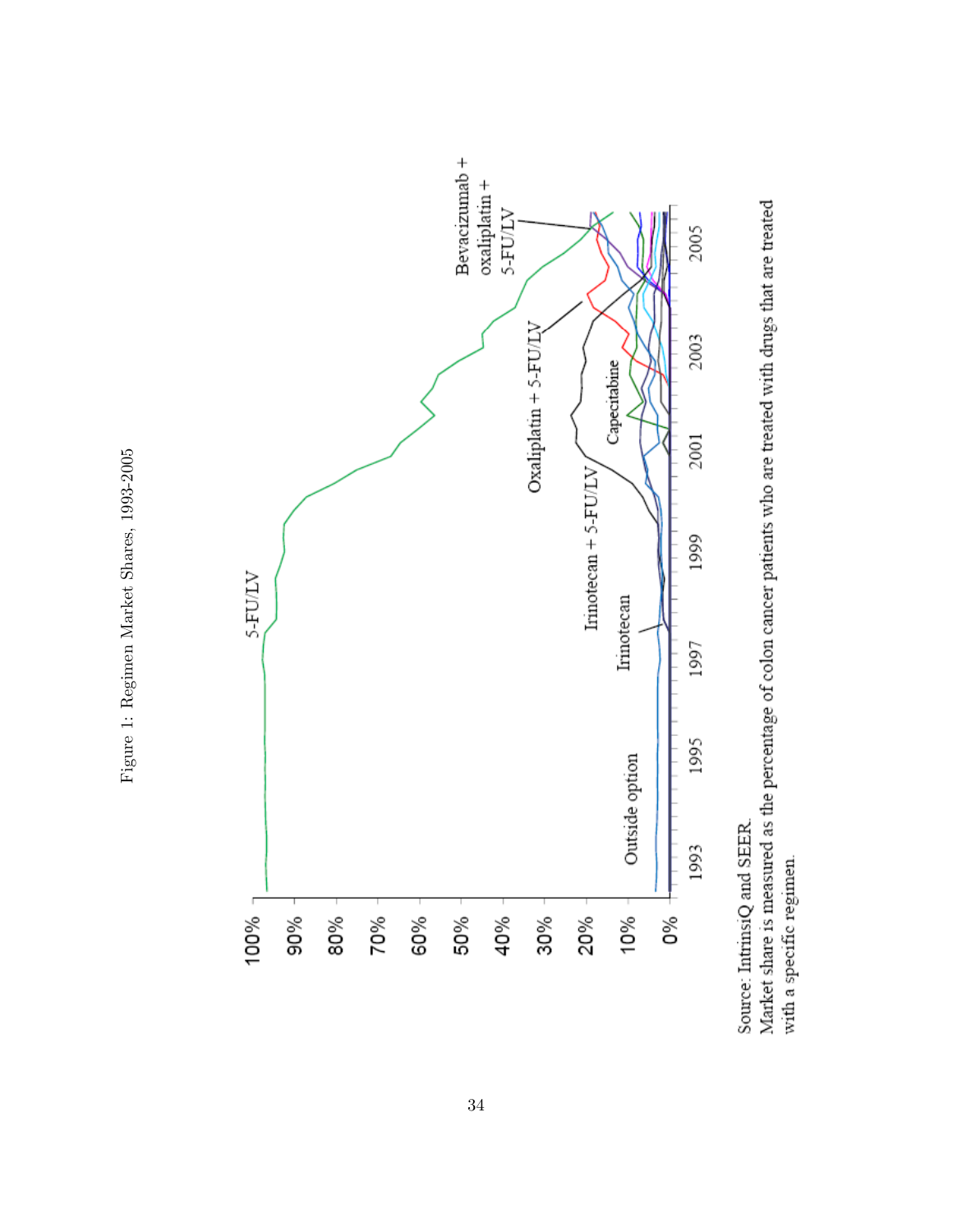



Source: IntrinsiQ and SEER.

Market share is measured as the percentage of colon cancer patients who are treated with drugs that are treated with a specific regimen.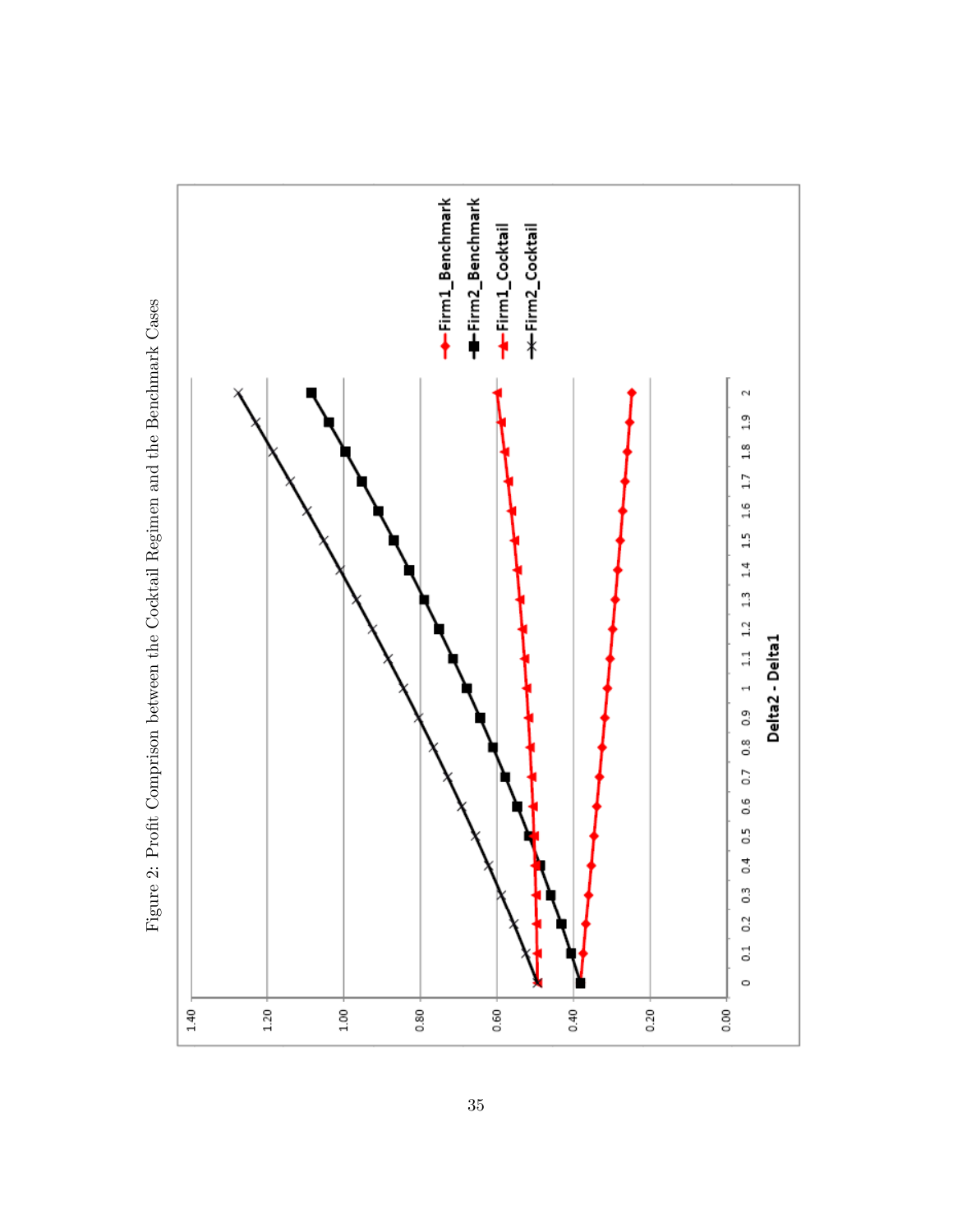

Figure 2: Profit Comprison between the Cocktail Regimen and the Benchmark Cases Figure 2: Profit Comprison between the Cocktail Regimen and the Benchmark Cases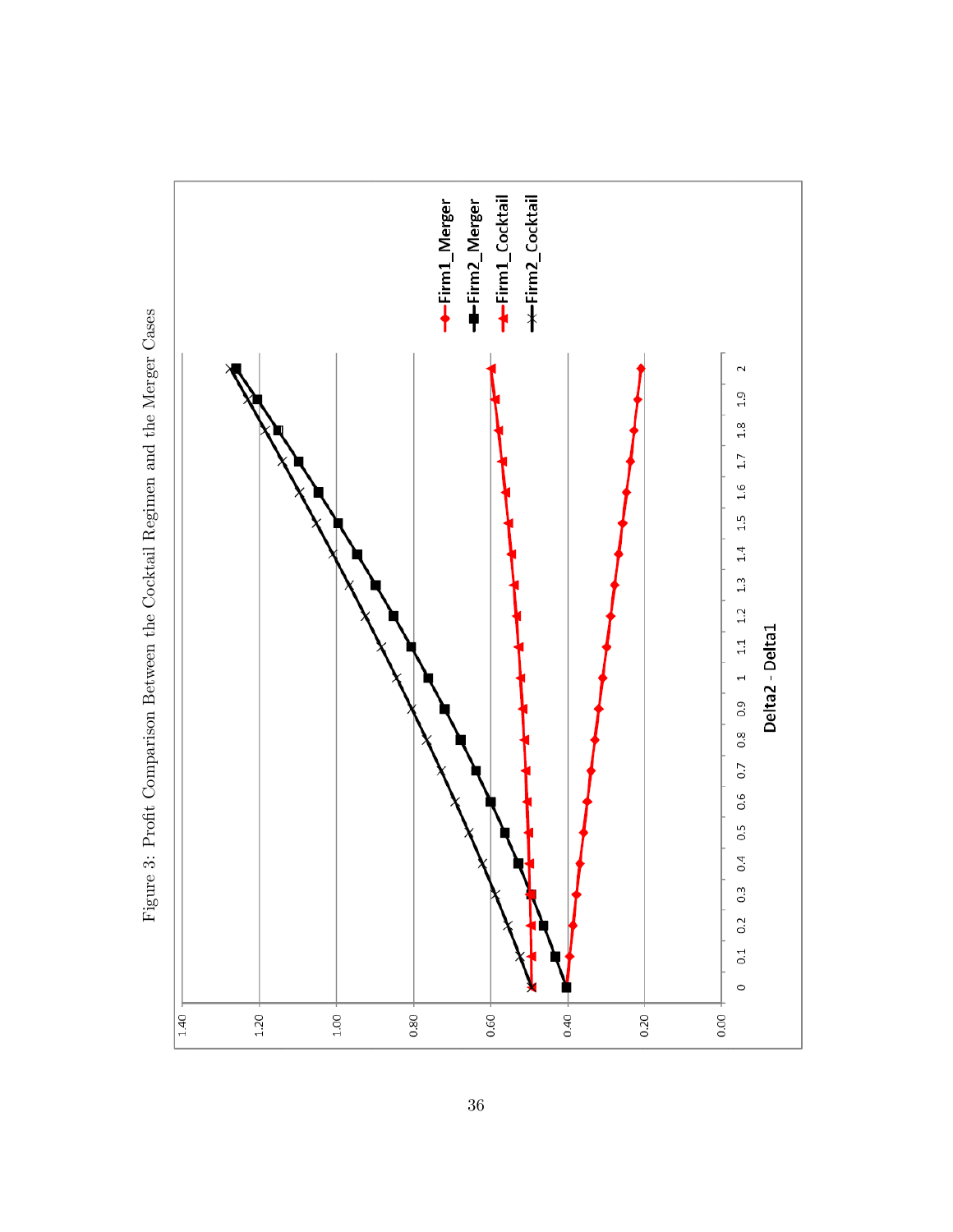

Figure 3: Profit Comparison Between the Cocktail Regimen and the Merger Cases Figure 3: Profit Comparison Between the Cocktail Regimen and the Merger Cases